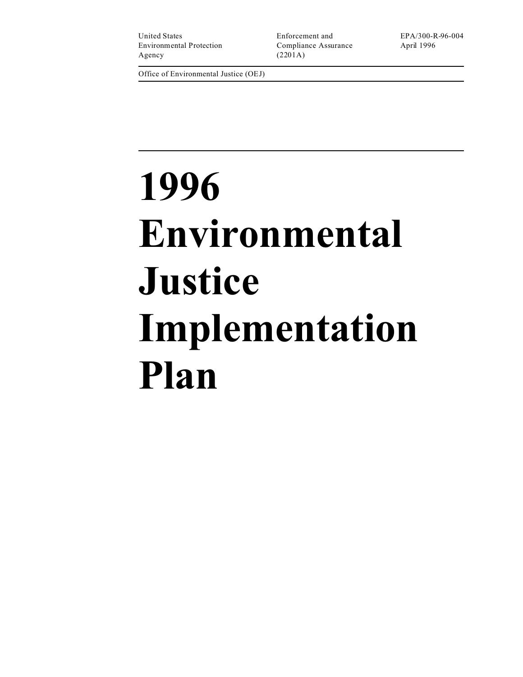United States Enforcement and EPA/300-R-96-004 Environmental Protection Compliance Assurance April 1996 Agency (2201A)

Office of Environmental Justice (OEJ)

# **1996 Environmental Justice Implementation Plan**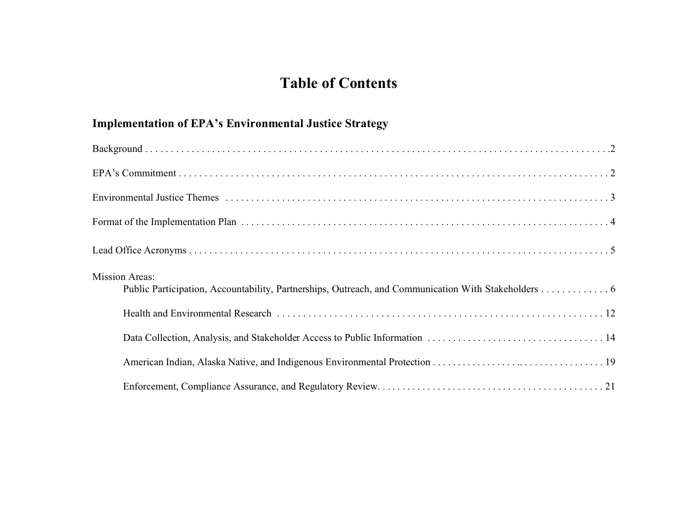# **Table of Contents**

## **Implementation of EPA's Environmental Justice Strategy**

| <b>Mission Areas:</b><br>Public Participation, Accountability, Partnerships, Outreach, and Communication With Stakeholders 6 |
|------------------------------------------------------------------------------------------------------------------------------|
|                                                                                                                              |
|                                                                                                                              |
|                                                                                                                              |
|                                                                                                                              |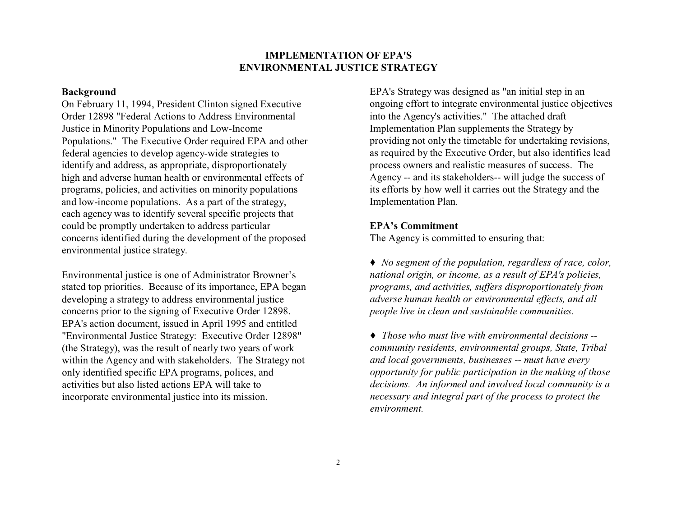#### **IMPLEMENTATION OF EPA'S ENVIRONMENTAL JUSTICE STRATEGY**

#### **Background**

On February 11, 1994, President Clinton signed Executive Order 12898 "Federal Actions to Address Environmental Justice in Minority Populations and Low-Income Populations." The Executive Order required EPA and other federal agencies to develop agency-wide strategies to identify and address, as appropriate, disproportionately high and adverse human health or environmental effects of programs, policies, and activities on minority populations and low-income populations. As a part of the strategy, each agency was to identify several specific projects that could be promptly undertaken to address particular concerns identified during the development of the proposed environmental justice strategy.

Environmental justice is one of Administrator Browner's stated top priorities. Because of its importance, EPA began developing a strategy to address environmental justice concerns prior to the signing of Executive Order 12898. EPA's action document, issued in April 1995 and entitled "Environmental Justice Strategy: Executive Order 12898" (the Strategy), was the result of nearly two years of work within the Agency and with stakeholders. The Strategy not only identified specific EPA programs, polices, and activities but also listed actions EPA will take to incorporate environmental justice into its mission.

EPA's Strategy was designed as "an initial step in an ongoing effort to integrate environmental justice objectives into the Agency's activities." The attached draft Implementation Plan supplements the Strategy by providing not only the timetable for undertaking revisions, as required by the Executive Order, but also identifies lead process owners and realistic measures of success. The Agency -- and its stakeholders-- will judge the success of its efforts by how well it carries out the Strategy and the Implementation Plan.

#### **EPA's Commitment**

The Agency is committed to ensuring that:

� *No segment of the population, regardless of race, color, national origin, or income, as a result of EPA's policies, programs, and activities, suffers disproportionately from adverse human health or environmental effects, and all people live in clean and sustainable communities.* 

*� Those who must live with environmental decisions - community residents, environmental groups, State, Tribal and local governments, businesses -- must have every opportunity for public participation in the making of those decisions. An informed and involved local community is a necessary and integral part of the process to protect the environment.*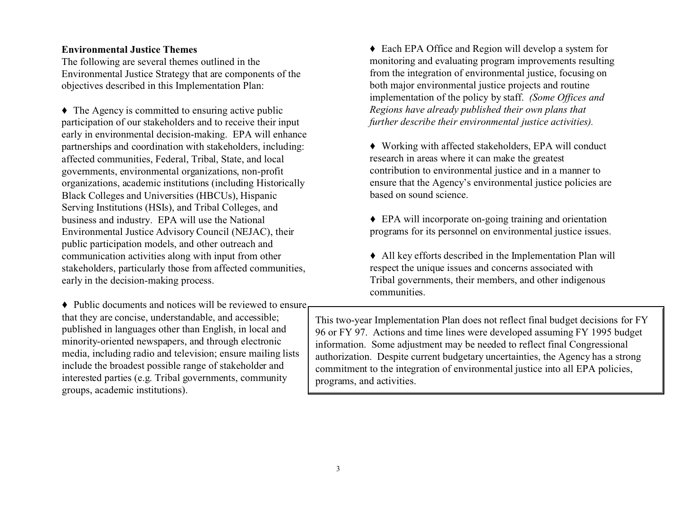Environmental Justice Strategy that are components of the objectives described in this Implementation Plan: both major environmental justice projects and routine

◆ The Agency is committed to ensuring active public participation of our stakeholders and to receive their input early in environmental decision-making. EPA will enhance partnerships and coordination with stakeholders, including:<br>  $\bullet$  Working with affected stakeholders, EPA will affected stakeholders, EPA will research in areas where it can make the greatest affected communities, Federal, Tribal, State, and local governments, environmental organizations, non-profit organizations, academic institutions (including Historically Black Colleges and Universities (HBCUs), Hispanic based on sound science. Serving Institutions (HSIs), and Tribal Colleges, and business and industry. EPA will use the National  $\bullet$  EPA will incorporate on-going training and orientation Environmental Justice Advisory Council (NEJAC), their public participation models, and other outreach and communication activities along with input from other  $\blacklozenge$  All key efforts described in the Implementation Plan will stakeholders, particularly those from affected communities, respect the unique issues and concerns associated with early in the decision-making process. Tribal governments, their members, and other indigenous

� Public documents and notices will be reviewed to ensure interested parties (e.g. Tribal governments, community programs, and activities. groups, academic institutions).

**Environmental Justice Themes** � Each EPA Office and Region will develop a system for The following are several themes outlined in the monitoring and evaluating program improvements resulting<br>Environmental Justice Strategy that are components of the from the integration of environmental justice, focusing on implementation of the policy by staff. *(Some Offices and*  Regions have already published their own plans that further describe their environmental justice activities).

> • Working with affected stakeholders, EPA will conduct contribution to environmental justice and in a manner to ensure that the Agency's environmental justice policies are

> programs for its personnel on environmental justice issues.

communities.

that they are concise, understandable, and accessible;<br>published in languages other than English, in local and<br> $\begin{array}{c} \begin{array}{c} \text{This two-year Implementation Plan does not reflect final budget decisions for FY} \\ \text{no6 or FV 97} \end{array} \end{array}$ published in languages other than English, in local and<br>minority-oriented newspapers, and through electronic<br>media, including radio and television; ensure mailing lists<br>include the broadest possible range of stakeholder an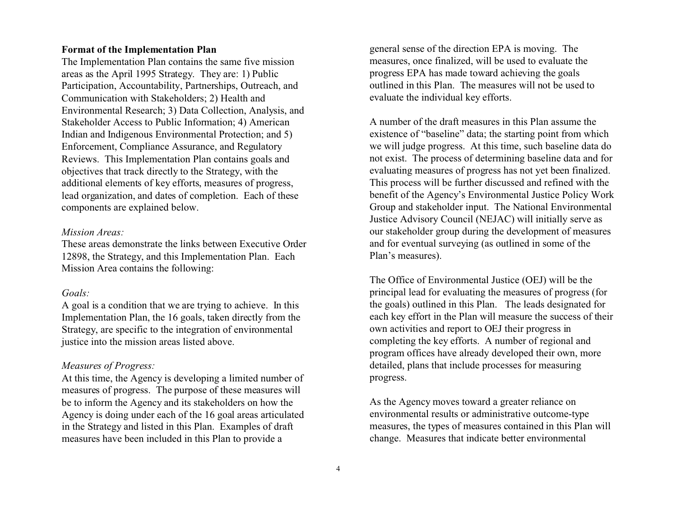#### **Format of the Implementation Plan**

The Implementation Plan contains the same five mission areas as the April 1995 Strategy. They are: 1) Public Participation, Accountability, Partnerships, Outreach, and Communication with Stakeholders; 2) Health and Environmental Research; 3) Data Collection, Analysis, and Stakeholder Access to Public Information; 4) American Indian and Indigenous Environmental Protection; and 5) Enforcement, Compliance Assurance, and Regulatory Reviews. This Implementation Plan contains goals and objectives that track directly to the Strategy, with the additional elements of key efforts, measures of progress, lead organization, and dates of completion. Each of these components are explained below.

#### *Mission Areas:*

These areas demonstrate the links between Executive Order 12898, the Strategy, and this Implementation Plan. Each Mission Area contains the following:

#### *Goals:*

A goal is a condition that we are trying to achieve. In this Implementation Plan, the 16 goals, taken directly from the Strategy, are specific to the integration of environmental justice into the mission areas listed above.

#### *Measures of Progress:*

At this time, the Agency is developing a limited number of measures of progress. The purpose of these measures will be to inform the Agency and its stakeholders on how the Agency is doing under each of the 16 goal areas articulated in the Strategy and listed in this Plan. Examples of draft measures have been included in this Plan to provide a

general sense of the direction EPA is moving. The measures, once finalized, will be used to evaluate the progress EPA has made toward achieving the goals outlined in this Plan. The measures will not be used to evaluate the individual key efforts.

A number of the draft measures in this Plan assume the existence of "baseline" data; the starting point from which we will judge progress. At this time, such baseline data do not exist. The process of determining baseline data and for evaluating measures of progress has not yet been finalized. This process will be further discussed and refined with the benefit of the Agency's Environmental Justice Policy Work Group and stakeholder input. The National Environmental Justice Advisory Council (NEJAC) will initially serve as our stakeholder group during the development of measures and for eventual surveying (as outlined in some of the Plan's measures).

The Office of Environmental Justice (OEJ) will be the principal lead for evaluating the measures of progress (for the goals) outlined in this Plan. The leads designated for each key effort in the Plan will measure the success of their own activities and report to OEJ their progress in completing the key efforts. A number of regional and program offices have already developed their own, more detailed, plans that include processes for measuring progress.

As the Agency moves toward a greater reliance on environmental results or administrative outcome-type measures, the types of measures contained in this Plan will change. Measures that indicate better environmental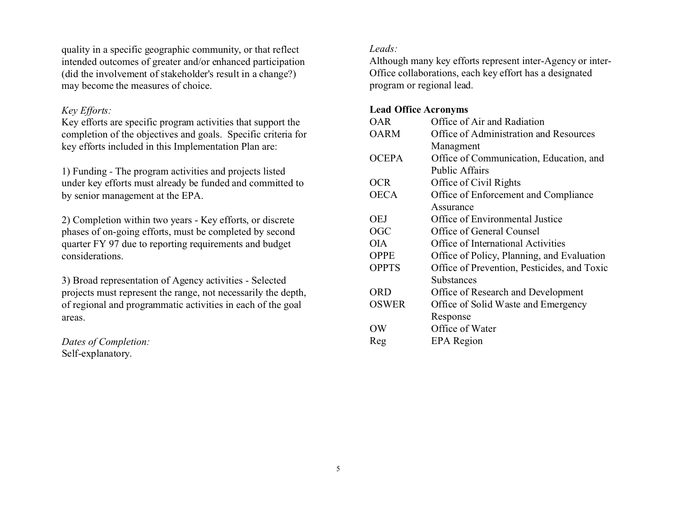quality in a specific geographic community, or that reflect intended outcomes of greater and/or enhanced participation (did the involvement of stakeholder's result in a change?) may become the measures of choice.

#### *Key Efforts:*

Key efforts are specific program activities that support the completion of the objectives and goals. Specific criteria for key efforts included in this Implementation Plan are:

1) Funding *-* The program activities and projects listed under key efforts must already be funded and committed to by senior management at the EPA.

2) Completion within two years - Key efforts, or discrete phases of on-going efforts, must be completed by second quarter FY 97 due to reporting requirements and budget considerations.

3) Broad representation of Agency activities - Selected projects must represent the range, not necessarily the depth, of regional and programmatic activities in each of the goal areas.

*Dates of Completion:*  Self-explanatory.

### *Leads:*

Although many key efforts represent inter-Agency or inter-Office collaborations, each key effort has a designated program or regional lead.

#### **Lead Office Acronyms**

| OAR          | Office of Air and Radiation                 |
|--------------|---------------------------------------------|
| <b>OARM</b>  | Office of Administration and Resources      |
|              | Managment                                   |
| <b>OCEPA</b> | Office of Communication, Education, and     |
|              | <b>Public Affairs</b>                       |
| <b>OCR</b>   | Office of Civil Rights                      |
| <b>OECA</b>  | Office of Enforcement and Compliance        |
|              | Assurance                                   |
| OEJ          | Office of Environmental Justice             |
| OGC          | Office of General Counsel                   |
| <b>OIA</b>   | Office of International Activities          |
| <b>OPPE</b>  | Office of Policy, Planning, and Evaluation  |
| <b>OPPTS</b> | Office of Prevention, Pesticides, and Toxic |
|              | Substances                                  |
| ORD          | Office of Research and Development          |
| <b>OSWER</b> | Office of Solid Waste and Emergency         |
|              | Response                                    |
| OW           | Office of Water                             |
| Reg          | <b>EPA</b> Region                           |
|              |                                             |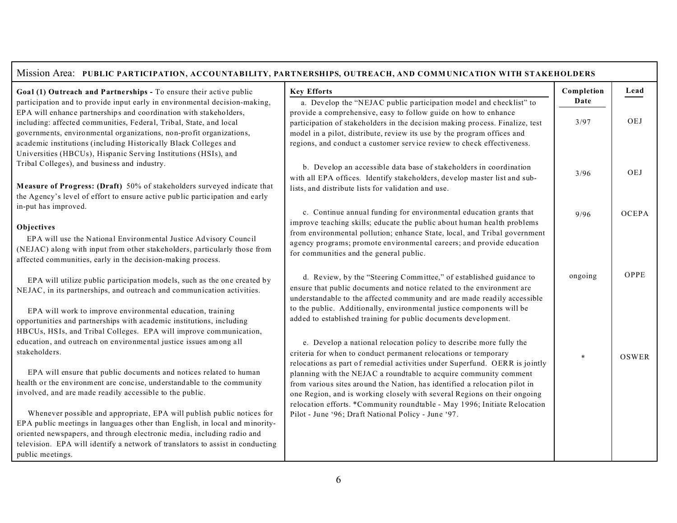| Mission Area: PUBLIC PARTICIPATION, ACCOUNTABILITY, PARTNERSHIPS, OUTREACH, AND COMMUNICATION WITH STAKEHOLDERS                         |                                                                                                                                                 |            |              |
|-----------------------------------------------------------------------------------------------------------------------------------------|-------------------------------------------------------------------------------------------------------------------------------------------------|------------|--------------|
| Goal (1) Outreach and Partnerships - To ensure their active public                                                                      | <b>Key Efforts</b>                                                                                                                              | Completion | Lead         |
| participation and to provide input early in environmental decision-making,                                                              | a. Develop the "NEJAC public participation model and checklist" to                                                                              | Date       |              |
| EPA will enhance partnerships and coordination with stakeholders,                                                                       | provide a comprehensive, easy to follow guide on how to enhance                                                                                 |            |              |
| including: affected communities, Federal, Tribal, State, and local                                                                      | participation of stakeholders in the decision making process. Finalize, test                                                                    | 3/97       | <b>OEJ</b>   |
| governments, environmental organizations, non-profit organizations,<br>academic institutions (including Historically Black Colleges and | model in a pilot, distribute, review its use by the program offices and                                                                         |            |              |
| Universities (HBCUs), Hispanic Serving Institutions (HSIs), and                                                                         | regions, and conduct a customer service review to check effectiveness.                                                                          |            |              |
| Tribal Colleges), and business and industry.                                                                                            |                                                                                                                                                 |            |              |
|                                                                                                                                         | b. Develop an accessible data base of stakeholders in coordination                                                                              | 3/96       | OEJ          |
| Measure of Progress: (Draft) 50% of stakeholders surveyed indicate that                                                                 | with all EPA offices. Identify stakeholders, develop master list and sub-<br>lists, and distribute lists for validation and use.                |            |              |
| the Agency's level of effort to ensure active public participation and early                                                            |                                                                                                                                                 |            |              |
| in-put has improved.                                                                                                                    |                                                                                                                                                 |            |              |
|                                                                                                                                         | c. Continue annual funding for environmental education grants that<br>improve teaching skills; educate the public about human health problems   | 9/96       | <b>OCEPA</b> |
| Objectives                                                                                                                              | from environmental pollution; enhance State, local, and Tribal government                                                                       |            |              |
| EPA will use the National Environmental Justice Advisory Council                                                                        | agency programs; promote environmental careers; and provide education                                                                           |            |              |
| (NEJAC) along with input from other stakeholders, particularly those from                                                               | for communities and the general public.                                                                                                         |            |              |
| affected communities, early in the decision-making process.                                                                             |                                                                                                                                                 |            |              |
| EPA will utilize public participation models, such as the one created by                                                                | d. Review, by the "Steering Committee," of established guidance to                                                                              | ongoing    | OPPE         |
| NEJAC, in its partnerships, and outreach and communication activities.                                                                  | ensure that public documents and notice related to the environment are                                                                          |            |              |
|                                                                                                                                         | understandable to the affected community and are made readily accessible                                                                        |            |              |
| EPA will work to improve environmental education, training                                                                              | to the public. Additionally, environmental justice components will be                                                                           |            |              |
| opportunities and partnerships with academic institutions, including                                                                    | added to established training for public documents development.                                                                                 |            |              |
| HBCUs, HSIs, and Tribal Colleges. EPA will improve communication,                                                                       |                                                                                                                                                 |            |              |
| education, and outreach on environmental justice issues among all                                                                       | e. Develop a national relocation policy to describe more fully the                                                                              |            |              |
| stakeholders.                                                                                                                           | criteria for when to conduct permanent relocations or temporary                                                                                 | $\ast$     | <b>OSWER</b> |
| EPA will ensure that public documents and notices related to human                                                                      | relocations as part of remedial activities under Superfund. OERR is jointly                                                                     |            |              |
| health or the environment are concise, understandable to the community                                                                  | planning with the NEJAC a roundtable to acquire community comment<br>from various sites around the Nation, has identified a relocation pilot in |            |              |
| involved, and are made readily accessible to the public.                                                                                | one Region, and is working closely with several Regions on their ongoing                                                                        |            |              |
|                                                                                                                                         | relocation efforts. *Community roundtable - May 1996; Initiate Relocation                                                                       |            |              |
| Whenever possible and appropriate, EPA will publish public notices for                                                                  | Pilot - June '96; Draft National Policy - June '97.                                                                                             |            |              |
| EPA public meetings in languages other than English, in local and minority-                                                             |                                                                                                                                                 |            |              |
| oriented newspapers, and through electronic media, including radio and                                                                  |                                                                                                                                                 |            |              |
| television. EPA will identify a network of translators to assist in conducting                                                          |                                                                                                                                                 |            |              |
| public meetings.                                                                                                                        |                                                                                                                                                 |            |              |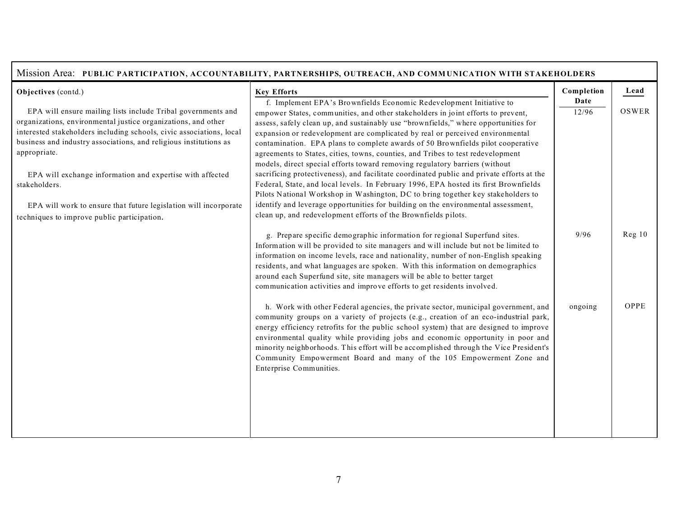| Mission Area: PUBLIC PARTICIPATION, ACCOUNTABILITY, PARTNERSHIPS, OUTREACH, AND COMMUNICATION WITH STAKEHOLDERS                                           |                                                                                                                                                                                                                                                                                                                                                                                                                                                                                                                                                     |                             |               |
|-----------------------------------------------------------------------------------------------------------------------------------------------------------|-----------------------------------------------------------------------------------------------------------------------------------------------------------------------------------------------------------------------------------------------------------------------------------------------------------------------------------------------------------------------------------------------------------------------------------------------------------------------------------------------------------------------------------------------------|-----------------------------|---------------|
| Objectives (contd.)<br>EPA will ensure mailing lists include Tribal governments and<br>organizations, environmental justice organizations, and other      | <b>Key Efforts</b><br>f. Implement EPA's Brownfields Economic Redevelopment Initiative to<br>empower States, communities, and other stakeholders in joint efforts to prevent,                                                                                                                                                                                                                                                                                                                                                                       | Completion<br>Date<br>12/96 | Lead<br>OSWER |
| interested stakeholders including schools, civic associations, local<br>business and industry associations, and religious institutions as<br>appropriate. | assess, safely clean up, and sustainably use "brownfields," where opportunities for<br>expansion or redevelopment are complicated by real or perceived environmental<br>contamination. EPA plans to complete awards of 50 Brownfields pilot cooperative<br>agreements to States, cities, towns, counties, and Tribes to test redevelopment<br>models, direct special efforts toward removing regulatory barriers (without                                                                                                                           |                             |               |
| EPA will exchange information and expertise with affected<br>stakeholders.<br>EPA will work to ensure that future legislation will incorporate            | sacrificing protectiveness), and facilitate coordinated public and private efforts at the<br>Federal, State, and local levels. In February 1996, EPA hosted its first Brownfields<br>Pilots National Workshop in Washington, DC to bring together key stakeholders to<br>identify and leverage opportunities for building on the environmental assessment,                                                                                                                                                                                          |                             |               |
| techniques to improve public participation.                                                                                                               | clean up, and redevelopment efforts of the Brownfields pilots.                                                                                                                                                                                                                                                                                                                                                                                                                                                                                      |                             |               |
|                                                                                                                                                           | g. Prepare specific demographic information for regional Superfund sites.<br>Information will be provided to site managers and will include but not be limited to<br>information on income levels, race and nationality, number of non-English speaking<br>residents, and what languages are spoken. With this information on demographics<br>around each Superfund site, site managers will be able to better target<br>communication activities and improve efforts to get residents involved.                                                    | 9/96                        | Reg 10        |
|                                                                                                                                                           | h. Work with other Federal agencies, the private sector, municipal government, and<br>community groups on a variety of projects (e.g., creation of an eco-industrial park,<br>energy efficiency retrofits for the public school system) that are designed to improve<br>environmental quality while providing jobs and economic opportunity in poor and<br>minority neighborhoods. This effort will be accomplished through the Vice President's<br>Community Empowerment Board and many of the 105 Empowerment Zone and<br>Enterprise Communities. | ongoing                     | OPPE          |
|                                                                                                                                                           |                                                                                                                                                                                                                                                                                                                                                                                                                                                                                                                                                     |                             |               |

Г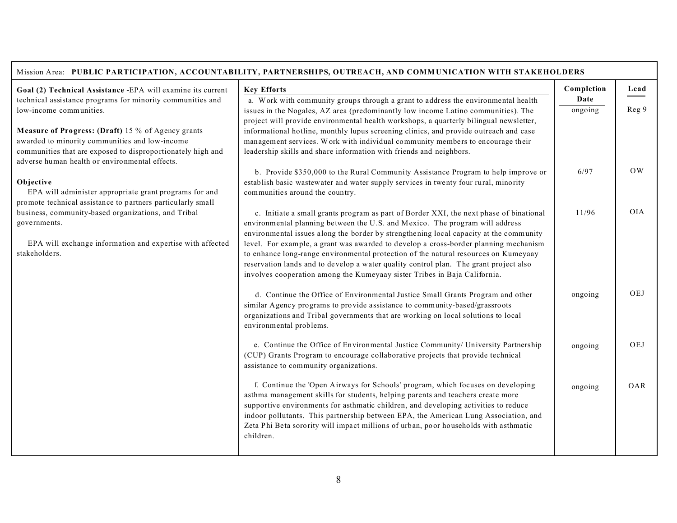|                                                                                                                       | Mission Area: PUBLIC PARTICIPATION, ACCOUNTABILITY, PARTNERSHIPS, OUTREACH, AND COMMUNICATION WITH STAKEHOLDERS                                                                 |            |            |
|-----------------------------------------------------------------------------------------------------------------------|---------------------------------------------------------------------------------------------------------------------------------------------------------------------------------|------------|------------|
| Goal (2) Technical Assistance -EPA will examine its current                                                           | <b>Key Efforts</b>                                                                                                                                                              | Completion | Lead       |
| technical assistance programs for minority communities and                                                            | a. Work with community groups through a grant to address the environmental health                                                                                               | Date       |            |
| low-income communities.                                                                                               | issues in the Nogales, AZ area (predominantly low income Latino communities). The                                                                                               | ongoing    | Reg 9      |
| Measure of Progress: (Draft) 15 % of Agency grants                                                                    | project will provide environmental health workshops, a quarterly bilingual newsletter,<br>informational hotline, monthly lupus screening clinics, and provide outreach and case |            |            |
| awarded to minority communities and low-income                                                                        | management services. Work with individual community members to encourage their                                                                                                  |            |            |
| communities that are exposed to disproportionately high and                                                           | leadership skills and share information with friends and neighbors.                                                                                                             |            |            |
| adverse human health or environmental effects.                                                                        |                                                                                                                                                                                 |            |            |
|                                                                                                                       | b. Provide \$350,000 to the Rural Community Assistance Program to help improve or                                                                                               | 6/97       | OW         |
| Objective                                                                                                             | establish basic wastewater and water supply services in twenty four rural, minority                                                                                             |            |            |
| EPA will administer appropriate grant programs for and<br>promote technical assistance to partners particularly small | communities around the country.                                                                                                                                                 |            |            |
| business, community-based organizations, and Tribal                                                                   | c. Initiate a small grants program as part of Border XXI, the next phase of binational                                                                                          | 11/96      | <b>OIA</b> |
| governments.                                                                                                          | environmental planning between the U.S. and Mexico. The program will address                                                                                                    |            |            |
|                                                                                                                       | environmental issues along the border by strengthening local capacity at the community                                                                                          |            |            |
| EPA will exchange information and expertise with affected                                                             | level. For example, a grant was awarded to develop a cross-border planning mechanism                                                                                            |            |            |
| stakeholders.                                                                                                         | to enhance long-range environmental protection of the natural resources on Kumeyaay                                                                                             |            |            |
|                                                                                                                       | reservation lands and to develop a water quality control plan. The grant project also<br>involves cooperation among the Kumeyaay sister Tribes in Baja California.              |            |            |
|                                                                                                                       |                                                                                                                                                                                 |            |            |
|                                                                                                                       | d. Continue the Office of Environmental Justice Small Grants Program and other                                                                                                  | ongoing    | OEJ        |
|                                                                                                                       | similar Agency programs to provide assistance to community-based/grassroots                                                                                                     |            |            |
|                                                                                                                       | organizations and Tribal governments that are working on local solutions to local                                                                                               |            |            |
|                                                                                                                       | environmental problems.                                                                                                                                                         |            |            |
|                                                                                                                       | e. Continue the Office of Environmental Justice Community/ University Partnership                                                                                               | ongoing    | OEJ        |
|                                                                                                                       | (CUP) Grants Program to encourage collaborative projects that provide technical                                                                                                 |            |            |
|                                                                                                                       | assistance to community organizations.                                                                                                                                          |            |            |
|                                                                                                                       |                                                                                                                                                                                 |            |            |
|                                                                                                                       | f. Continue the 'Open Airways for Schools' program, which focuses on developing<br>asthma management skills for students, helping parents and teachers create more              | ongoing    | OAR        |
|                                                                                                                       | supportive environments for asthmatic children, and developing activities to reduce                                                                                             |            |            |
|                                                                                                                       | indoor pollutants. This partnership between EPA, the American Lung Association, and                                                                                             |            |            |
|                                                                                                                       | Zeta Phi Beta sorority will impact millions of urban, poor households with asthmatic                                                                                            |            |            |
|                                                                                                                       | children.                                                                                                                                                                       |            |            |
|                                                                                                                       |                                                                                                                                                                                 |            |            |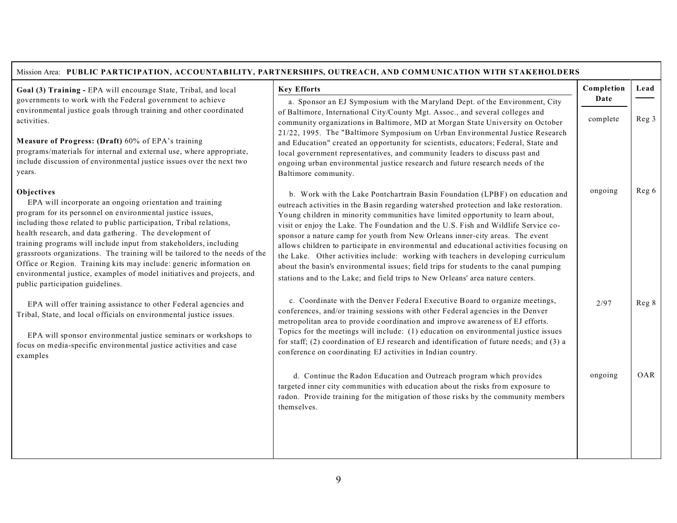#### Mission Area: **PUBLIC PARTICIPATION, ACCOUNTABILITY, PARTNERSHIPS, OUTREACH, AND COMM UNICATION WITH STAKEHOLDERS**

**Goal (3) Tra ining -** EPA will encourage State, Tribal, and local governments to work with the Federal government to achieve environmental justice goals through training and other coordinated activities.

**M easure of Pro gress: (Draft)** 60% of EPA's training programs/materials for internal and external use, where appropriate, include discussion of environmental justice issues over the next two years.

#### **Objectives**

EPA will incorporate an ongoing orientation and training pro gram for its per sonnel on e nvironmental justice issues, including those related to public participation, Tribal relations, health research, and data gathering. The development of training programs will include input from stakeholders, including grassroots organizations. The training will be tailored to the needs of the Office or Region. Training kits may include: generic information on environmental justice, examples of model initiatives and projects, and public participation guidelines.

EPA will offer training assistance to other Federal agencies and Tribal, State, and local officials on environmental justice issues.

EPA will sponsor environmental justice seminars or workshops to focus on m edia-specific environ mental justice activities and case examples

| <b>Key Efforts</b>                                                                                                                                                                                                                                                                                                                                                                                                                                                                                                                                                                                                                                                                                                                                                                        | Completion | Lead  |
|-------------------------------------------------------------------------------------------------------------------------------------------------------------------------------------------------------------------------------------------------------------------------------------------------------------------------------------------------------------------------------------------------------------------------------------------------------------------------------------------------------------------------------------------------------------------------------------------------------------------------------------------------------------------------------------------------------------------------------------------------------------------------------------------|------------|-------|
| a. Sponsor an EJ Symposium with the Maryland Dept. of the Environment, City                                                                                                                                                                                                                                                                                                                                                                                                                                                                                                                                                                                                                                                                                                               | Date       |       |
| of Baltimore, International City/County Mgt. Assoc., and several colleges and<br>community organizations in Baltimore, MD at Morgan State University on October<br>21/22, 1995. The "Baltimore Symposium on Urban Environmental Justice Research<br>and Education" created an opportunity for scientists, educators; Federal, State and<br>local government representatives, and community leaders to discuss past and<br>ongoing urban environmental justice research and future research needs of the<br>Baltimore community.                                                                                                                                                                                                                                                           | complete   | Reg 3 |
| b. Work with the Lake Pontchartrain Basin Foundation (LPBF) on education and<br>outreach activities in the Basin regarding watershed protection and lake restoration.<br>Young children in minority communities have limited opportunity to learn about,<br>visit or enjoy the Lake. The Foundation and the U.S. Fish and Wildlife Service co-<br>sponsor a nature camp for youth from New Orleans inner-city areas. The event<br>allows children to participate in environmental and educational activities focusing on<br>the Lake. Other activities include: working with teachers in developing curriculum<br>about the basin's environmental issues; field trips for students to the canal pumping<br>stations and to the Lake; and field trips to New Orleans' area nature centers. | ongoing    | Reg 6 |
| c. Coordinate with the Denver Federal Executive Board to organize meetings,<br>conferences, and/or training sessions with other Federal agencies in the Denver<br>metropolitan area to provide coordination and improve awareness of EJ efforts.<br>Topics for the meetings will include: (1) education on environmental justice issues<br>for staff; (2) coordination of EJ research and identification of future needs; and (3) a<br>conference on coordinating EJ activities in Indian country.                                                                                                                                                                                                                                                                                        | 2/97       | Reg 8 |
| d. Continue the Radon Education and Outreach program which provides<br>targeted inner city communities with education about the risks from exposure to<br>radon. Provide training for the mitigation of those risks by the community members<br>themselves.                                                                                                                                                                                                                                                                                                                                                                                                                                                                                                                               | ongoing    | OAR   |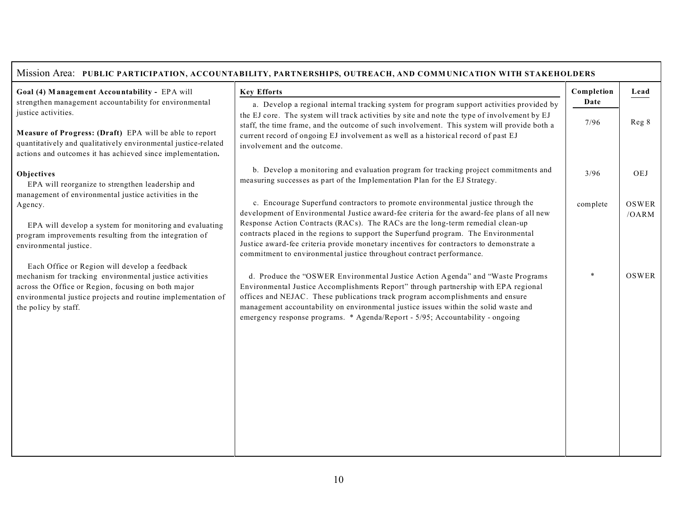| Mission Area: PUBLIC PARTICIPATION, ACCOUNTABILITY, PARTNERSHIPS, OUTREACH, AND COMMUNICATION WITH STAKEHOLDERS                                                                                                                                         |                                                                                                                                                                                                                                                                                                                                                                                                                                  |              |                |
|---------------------------------------------------------------------------------------------------------------------------------------------------------------------------------------------------------------------------------------------------------|----------------------------------------------------------------------------------------------------------------------------------------------------------------------------------------------------------------------------------------------------------------------------------------------------------------------------------------------------------------------------------------------------------------------------------|--------------|----------------|
| Goal (4) Management Accountability - EPA will                                                                                                                                                                                                           | <b>Key Efforts</b>                                                                                                                                                                                                                                                                                                                                                                                                               | Completion   | Lead           |
| strengthen management accountability for environmental<br>justice activities.                                                                                                                                                                           | a. Develop a regional internal tracking system for program support activities provided by<br>the EJ core. The system will track activities by site and note the type of involvement by EJ                                                                                                                                                                                                                                        | Date<br>7/96 | Reg 8          |
| Measure of Progress: (Draft) EPA will be able to report<br>quantitatively and qualitatively environmental justice-related<br>actions and outcomes it has achieved since implementation.                                                                 | staff, the time frame, and the outcome of such involvement. This system will provide both a<br>current record of ongoing EJ involvement as well as a historical record of past EJ<br>involvement and the outcome.                                                                                                                                                                                                                |              |                |
| Objectives<br>EPA will reorganize to strengthen leadership and<br>management of environmental justice activities in the                                                                                                                                 | b. Develop a monitoring and evaluation program for tracking project commitments and<br>measuring successes as part of the Implementation Plan for the EJ Strategy.                                                                                                                                                                                                                                                               | 3/96         | OEJ            |
| Agency.                                                                                                                                                                                                                                                 | c. Encourage Superfund contractors to promote environmental justice through the<br>development of Environmental Justice award-fee criteria for the award-fee plans of all new<br>Response Action Contracts (RACs). The RACs are the long-term remedial clean-up                                                                                                                                                                  | complete     | OSWER<br>/OARM |
| EPA will develop a system for monitoring and evaluating<br>program improvements resulting from the integration of<br>environmental justice.                                                                                                             | contracts placed in the regions to support the Superfund program. The Environmental<br>Justice award-fee criteria provide monetary incentives for contractors to demonstrate a<br>commitment to environmental justice throughout contract performance.                                                                                                                                                                           |              |                |
| Each Office or Region will develop a feedback<br>mechanism for tracking environmental justice activities<br>across the Office or Region, focusing on both major<br>environmental justice projects and routine implementation of<br>the policy by staff. | d. Produce the "OSWER Environmental Justice Action Agenda" and "Waste Programs<br>Environmental Justice Accomplishments Report" through partnership with EPA regional<br>offices and NEJAC. These publications track program accomplishments and ensure<br>management accountability on environmental justice issues within the solid waste and<br>emergency response programs. * Agenda/Report - 5/95; Accountability - ongoing |              | OSWER          |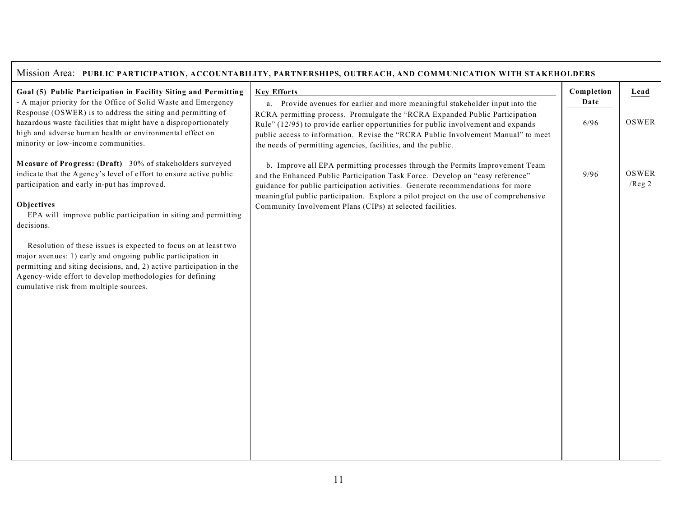| Mission Area: PUBLIC PARTICIPATION, ACCOUNTABILITY, PARTNERSHIPS, OUTREACH, AND COMMUNICATION WITH STAKEHOLDERS                                                                                                                                                                                                                                                                                                                                                                                                                                                                               |                                                                                                                                                                                                                                                                                                                                                                                                         |              |                    |
|-----------------------------------------------------------------------------------------------------------------------------------------------------------------------------------------------------------------------------------------------------------------------------------------------------------------------------------------------------------------------------------------------------------------------------------------------------------------------------------------------------------------------------------------------------------------------------------------------|---------------------------------------------------------------------------------------------------------------------------------------------------------------------------------------------------------------------------------------------------------------------------------------------------------------------------------------------------------------------------------------------------------|--------------|--------------------|
| Goal (5) Public Participation in Facility Siting and Permitting                                                                                                                                                                                                                                                                                                                                                                                                                                                                                                                               | <b>Key Efforts</b>                                                                                                                                                                                                                                                                                                                                                                                      | Completion   | Lead               |
| - A major priority for the Office of Solid Waste and Emergency<br>Response (OSWER) is to address the siting and permitting of<br>hazardous waste facilities that might have a disproportionately<br>high and adverse human health or environmental effect on<br>minority or low-income communities.                                                                                                                                                                                                                                                                                           | a. Provide avenues for earlier and more meaningful stakeholder input into the<br>RCRA permitting process. Promulgate the "RCRA Expanded Public Participation<br>Rule" (12/95) to provide earlier opportunities for public involvement and expands<br>public access to information. Revise the "RCRA Public Involvement Manual" to meet<br>the needs of permitting agencies, facilities, and the public. | Date<br>6/96 | OSWER              |
| Measure of Progress: (Draft) 30% of stakeholders surveyed<br>indicate that the Agency's level of effort to ensure active public<br>participation and early in-put has improved.<br>Objectives<br>EPA will improve public participation in siting and permitting<br>decisions.<br>Resolution of these issues is expected to focus on at least two<br>major avenues: 1) early and ongoing public participation in<br>permitting and siting decisions, and, 2) active participation in the<br>Agency-wide effort to develop methodologies for defining<br>cumulative risk from multiple sources. | b. Improve all EPA permitting processes through the Permits Improvement Team<br>and the Enhanced Public Participation Task Force. Develop an "easy reference"<br>guidance for public participation activities. Generate recommendations for more<br>meaningful public participation. Explore a pilot project on the use of comprehensive<br>Community Involvement Plans (CIPs) at selected facilities.  | 9/96         | OSWER<br>$/$ Reg 2 |
|                                                                                                                                                                                                                                                                                                                                                                                                                                                                                                                                                                                               |                                                                                                                                                                                                                                                                                                                                                                                                         |              |                    |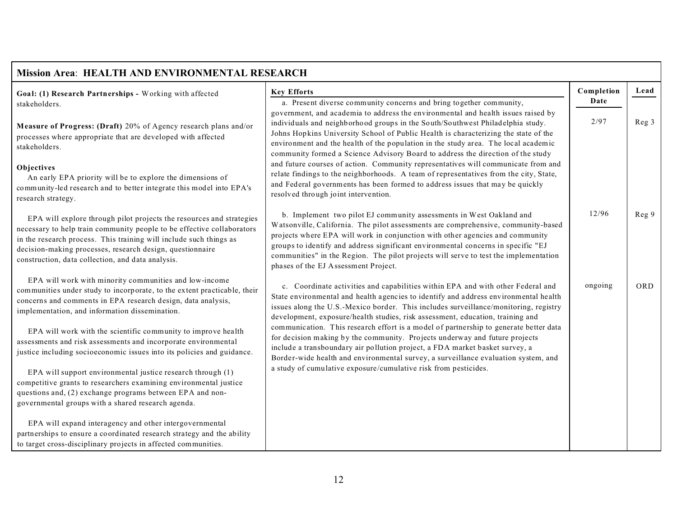| <b>Mission Area: HEALTH AND ENVIRONMENTAL RESEARCH</b>                                                                                                                                                                                                                                                                                 |                                                                                                                                                                                                                                                                                                                                                                                                                                                                |            |            |  |
|----------------------------------------------------------------------------------------------------------------------------------------------------------------------------------------------------------------------------------------------------------------------------------------------------------------------------------------|----------------------------------------------------------------------------------------------------------------------------------------------------------------------------------------------------------------------------------------------------------------------------------------------------------------------------------------------------------------------------------------------------------------------------------------------------------------|------------|------------|--|
| Goal: (1) Research Partnerships - Working with affected                                                                                                                                                                                                                                                                                | <b>Key Efforts</b>                                                                                                                                                                                                                                                                                                                                                                                                                                             | Completion | Lead       |  |
| stakeholders.                                                                                                                                                                                                                                                                                                                          | a. Present diverse community concerns and bring together community,<br>government, and academia to address the environmental and health issues raised by                                                                                                                                                                                                                                                                                                       | Date       |            |  |
| Measure of Progress: (Draft) 20% of Agency research plans and/or<br>processes where appropriate that are developed with affected<br>stakeholders.                                                                                                                                                                                      | individuals and neighborhood groups in the South/Southwest Philadelphia study.<br>Johns Hopkins University School of Public Health is characterizing the state of the<br>environment and the health of the population in the study area. The local academic<br>community formed a Science Advisory Board to address the direction of the study                                                                                                                 | 2/97       | Reg 3      |  |
| Objectives<br>An early EPA priority will be to explore the dimensions of<br>community-led research and to better integrate this model into EPA's<br>research strategy.                                                                                                                                                                 | and future courses of action. Community representatives will communicate from and<br>relate findings to the neighborhoods. A team of representatives from the city, State,<br>and Federal governments has been formed to address issues that may be quickly<br>resolved through joint intervention.                                                                                                                                                            |            |            |  |
| EPA will explore through pilot projects the resources and strategies<br>necessary to help train community people to be effective collaborators<br>in the research process. This training will include such things as<br>decision-making processes, research design, questionnaire<br>construction, data collection, and data analysis. | b. Implement two pilot EJ community assessments in West Oakland and<br>Watsonville, California. The pilot assessments are comprehensive, community-based<br>projects where EPA will work in conjunction with other agencies and community<br>groups to identify and address significant environmental concerns in specific "EJ<br>communities" in the Region. The pilot projects will serve to test the implementation<br>phases of the EJ Assessment Project. | 12/96      | Reg 9      |  |
| EPA will work with minority communities and low-income<br>communities under study to incorporate, to the extent practicable, their<br>concerns and comments in EPA research design, data analysis,<br>implementation, and information dissemination.                                                                                   | c. Coordinate activities and capabilities within EPA and with other Federal and<br>State environmental and health agencies to identify and address environmental health<br>issues along the U.S.-Mexico border. This includes surveillance/monitoring, registry<br>development, exposure/health studies, risk assessment, education, training and                                                                                                              | ongoing    | <b>ORD</b> |  |
| EPA will work with the scientific community to improve health<br>assessments and risk assessments and incorporate environmental<br>justice including socioeconomic issues into its policies and guidance.                                                                                                                              | communication. This research effort is a model of partnership to generate better data<br>for decision making by the community. Projects underway and future projects<br>include a transboundary air pollution project, a FDA market basket survey, a<br>Border-wide health and environmental survey, a surveillance evaluation system, and                                                                                                                     |            |            |  |
| EPA will support environmental justice research through (1)<br>competitive grants to researchers examining environmental justice<br>questions and, (2) exchange programs between EPA and non-<br>governmental groups with a shared research agenda.                                                                                    | a study of cumulative exposure/cumulative risk from pesticides.                                                                                                                                                                                                                                                                                                                                                                                                |            |            |  |
| EPA will expand interagency and other intergovernmental<br>partnerships to ensure a coordinated research strategy and the ability<br>to target cross-disciplinary projects in affected communities.                                                                                                                                    |                                                                                                                                                                                                                                                                                                                                                                                                                                                                |            |            |  |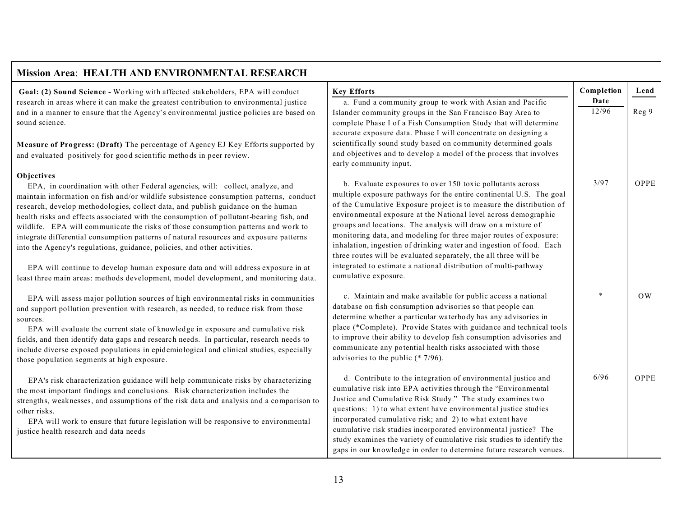| <b>Mission Area: HEALTH AND ENVIRONMENTAL RESEARCH</b>                                                                                                                                                                                                                                                                                                                                                                                                                                                                                                                                                                                                                                                                                                                                                       |                                                                                                                                                                                                                                                                                                                                                                                                                                                                                                                                                                                                                                                        |                    |           |
|--------------------------------------------------------------------------------------------------------------------------------------------------------------------------------------------------------------------------------------------------------------------------------------------------------------------------------------------------------------------------------------------------------------------------------------------------------------------------------------------------------------------------------------------------------------------------------------------------------------------------------------------------------------------------------------------------------------------------------------------------------------------------------------------------------------|--------------------------------------------------------------------------------------------------------------------------------------------------------------------------------------------------------------------------------------------------------------------------------------------------------------------------------------------------------------------------------------------------------------------------------------------------------------------------------------------------------------------------------------------------------------------------------------------------------------------------------------------------------|--------------------|-----------|
| Goal: (2) Sound Science - Working with affected stakeholders, EPA will conduct<br>research in areas where it can make the greatest contribution to environmental justice                                                                                                                                                                                                                                                                                                                                                                                                                                                                                                                                                                                                                                     | <b>Key Efforts</b>                                                                                                                                                                                                                                                                                                                                                                                                                                                                                                                                                                                                                                     | Completion<br>Date | Lead      |
| and in a manner to ensure that the Agency's environmental justice policies are based on<br>sound science.                                                                                                                                                                                                                                                                                                                                                                                                                                                                                                                                                                                                                                                                                                    | a. Fund a community group to work with Asian and Pacific<br>Islander community groups in the San Francisco Bay Area to<br>complete Phase I of a Fish Consumption Study that will determine<br>accurate exposure data. Phase I will concentrate on designing a                                                                                                                                                                                                                                                                                                                                                                                          | 12/96              | Reg 9     |
| Measure of Progress: (Draft) The percentage of Agency EJ Key Efforts supported by<br>and evaluated positively for good scientific methods in peer review.                                                                                                                                                                                                                                                                                                                                                                                                                                                                                                                                                                                                                                                    | scientifically sound study based on community determined goals<br>and objectives and to develop a model of the process that involves<br>early community input.                                                                                                                                                                                                                                                                                                                                                                                                                                                                                         |                    |           |
| Objectives<br>EPA, in coordination with other Federal agencies, will: collect, analyze, and<br>maintain information on fish and/or wildlife subsistence consumption patterns, conduct<br>research, develop methodologies, collect data, and publish guidance on the human<br>health risks and effects associated with the consumption of pollutant-bearing fish, and<br>wildlife. EPA will communicate the risks of those consumption patterns and work to<br>integrate differential consumption patterns of natural resources and exposure patterns<br>into the Agency's regulations, guidance, policies, and other activities.<br>EPA will continue to develop human exposure data and will address exposure in at<br>least three main areas: methods development, model development, and monitoring data. | b. Evaluate exposures to over 150 toxic pollutants across<br>multiple exposure pathways for the entire continental U.S. The goal<br>of the Cumulative Exposure project is to measure the distribution of<br>environmental exposure at the National level across demographic<br>groups and locations. The analysis will draw on a mixture of<br>monitoring data, and modeling for three major routes of exposure:<br>inhalation, ingestion of drinking water and ingestion of food. Each<br>three routes will be evaluated separately, the all three will be<br>integrated to estimate a national distribution of multi-pathway<br>cumulative exposure. | 3/97               | OPPE      |
| EPA will assess major pollution sources of high environmental risks in communities<br>and support pollution prevention with research, as needed, to reduce risk from those<br>sources.<br>EPA will evaluate the current state of knowledge in exposure and cumulative risk<br>fields, and then identify data gaps and research needs. In particular, research needs to<br>include diverse exposed populations in epidemiological and clinical studies, especially<br>those population segments at high exposure.                                                                                                                                                                                                                                                                                             | c. Maintain and make available for public access a national<br>database on fish consumption advisories so that people can<br>determine whether a particular waterbody has any advisories in<br>place (*Complete). Provide States with guidance and technical tools<br>to improve their ability to develop fish consumption advisories and<br>communicate any potential health risks associated with those<br>advisories to the public $(* 7/96)$ .                                                                                                                                                                                                     |                    | <b>OW</b> |
| EPA's risk characterization guidance will help communicate risks by characterizing<br>the most important findings and conclusions. Risk characterization includes the<br>strengths, weaknesses, and assumptions of the risk data and analysis and a comparison to<br>other risks.<br>EPA will work to ensure that future legislation will be responsive to environmental<br>justice health research and data needs                                                                                                                                                                                                                                                                                                                                                                                           | d. Contribute to the integration of environmental justice and<br>cumulative risk into EPA activities through the "Environmental<br>Justice and Cumulative Risk Study." The study examines two<br>questions: 1) to what extent have environmental justice studies<br>incorporated cumulative risk; and 2) to what extent have<br>cumulative risk studies incorporated environmental justice? The<br>study examines the variety of cumulative risk studies to identify the<br>gaps in our knowledge in order to determine future research venues.                                                                                                        | 6/96               | OPPE      |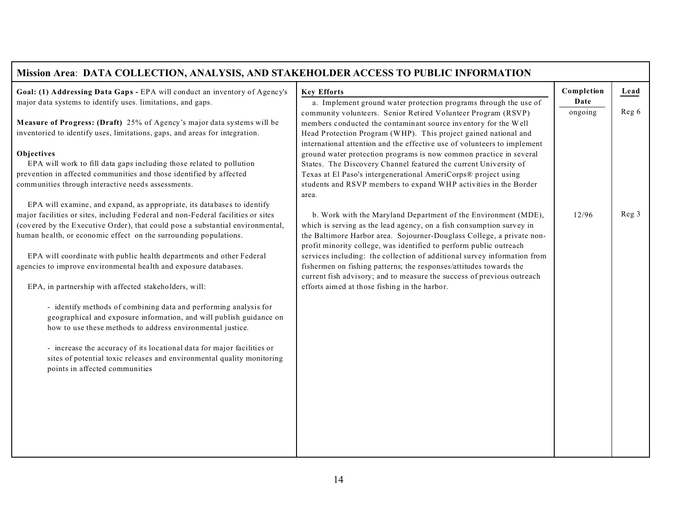| Mission Area: DATA COLLECTION, ANALYSIS, AND STAKEHOLDER ACCESS TO PUBLIC INFORMATION                                     |                                                                                                                                             |            |       |
|---------------------------------------------------------------------------------------------------------------------------|---------------------------------------------------------------------------------------------------------------------------------------------|------------|-------|
| Goal: (1) Addressing Data Gaps - EPA will conduct an inventory of Agency's                                                | <b>Key Efforts</b>                                                                                                                          | Completion | Lead  |
| major data systems to identify uses. limitations, and gaps.                                                               | a. Implement ground water protection programs through the use of                                                                            | Date       |       |
| Measure of Progress: (Draft) 25% of Agency's major data systems will be                                                   | community volunteers. Senior Retired Volunteer Program (RSVP)                                                                               | ongoing    | Reg 6 |
| inventoried to identify uses, limitations, gaps, and areas for integration.                                               | members conducted the contaminant source inventory for the Well<br>Head Protection Program (WHP). This project gained national and          |            |       |
|                                                                                                                           | international attention and the effective use of volunteers to implement                                                                    |            |       |
| Objectives                                                                                                                | ground water protection programs is now common practice in several                                                                          |            |       |
| EPA will work to fill data gaps including those related to pollution                                                      | States. The Discovery Channel featured the current University of                                                                            |            |       |
| prevention in affected communities and those identified by affected<br>communities through interactive needs assessments. | Texas at El Paso's intergenerational AmeriCorps® project using<br>students and RSVP members to expand WHP activities in the Border          |            |       |
|                                                                                                                           | area.                                                                                                                                       |            |       |
| EPA will examine, and expand, as appropriate, its databases to identify                                                   |                                                                                                                                             |            |       |
| major facilities or sites, including Federal and non-Federal facilities or sites                                          | b. Work with the Maryland Department of the Environment (MDE),                                                                              | 12/96      | Reg 3 |
| (covered by the Executive Order), that could pose a substantial environmental,                                            | which is serving as the lead agency, on a fish consumption survey in                                                                        |            |       |
| human health, or economic effect on the surrounding populations.                                                          | the Baltimore Harbor area. Sojourner-Douglass College, a private non-<br>profit minority college, was identified to perform public outreach |            |       |
| EPA will coordinate with public health departments and other Federal                                                      | services including: the collection of additional survey information from                                                                    |            |       |
| agencies to improve environmental health and exposure databases.                                                          | fishermen on fishing patterns; the responses/attitudes towards the                                                                          |            |       |
|                                                                                                                           | current fish advisory; and to measure the success of previous outreach                                                                      |            |       |
| EPA, in partnership with affected stakeholders, will:                                                                     | efforts aimed at those fishing in the harbor.                                                                                               |            |       |
| - identify methods of combining data and performing analysis for                                                          |                                                                                                                                             |            |       |
| geographical and exposure information, and will publish guidance on                                                       |                                                                                                                                             |            |       |
| how to use these methods to address environmental justice.                                                                |                                                                                                                                             |            |       |
| - increase the accuracy of its locational data for major facilities or                                                    |                                                                                                                                             |            |       |
| sites of potential toxic releases and environmental quality monitoring                                                    |                                                                                                                                             |            |       |
| points in affected communities                                                                                            |                                                                                                                                             |            |       |
|                                                                                                                           |                                                                                                                                             |            |       |
|                                                                                                                           |                                                                                                                                             |            |       |
|                                                                                                                           |                                                                                                                                             |            |       |
|                                                                                                                           |                                                                                                                                             |            |       |
|                                                                                                                           |                                                                                                                                             |            |       |
|                                                                                                                           |                                                                                                                                             |            |       |
|                                                                                                                           |                                                                                                                                             |            |       |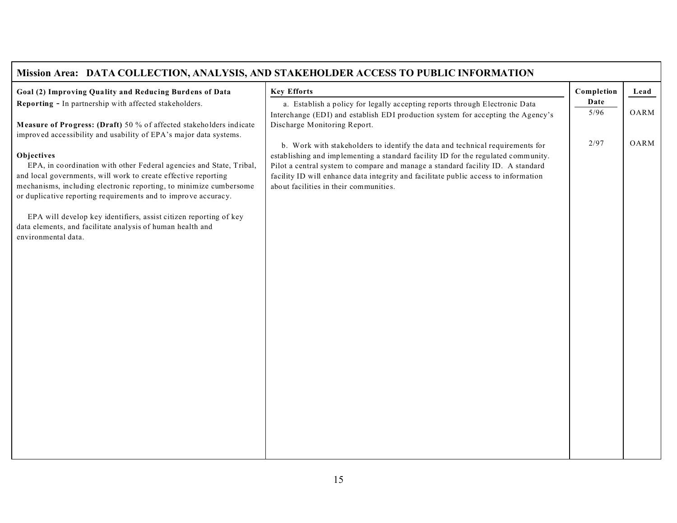| Mission Area: DATA COLLECTION, ANALYSIS, AND STAKEHOLDER ACCESS TO PUBLIC INFORMATION                                                |                                                                                                                                                                    |                |      |  |
|--------------------------------------------------------------------------------------------------------------------------------------|--------------------------------------------------------------------------------------------------------------------------------------------------------------------|----------------|------|--|
| Goal (2) Improving Quality and Reducing Burdens of Data                                                                              | <b>Key Efforts</b>                                                                                                                                                 | Completion     | Lead |  |
| Reporting - In partnership with affected stakeholders.                                                                               | a. Establish a policy for legally accepting reports through Electronic Data                                                                                        | Date<br>$5/96$ | OARM |  |
| Measure of Progress: (Draft) 50 % of affected stakeholders indicate                                                                  | Interchange (EDI) and establish EDI production system for accepting the Agency's<br>Discharge Monitoring Report.                                                   |                |      |  |
| improved accessibility and usability of EPA's major data systems.                                                                    |                                                                                                                                                                    |                |      |  |
| Objectives                                                                                                                           | b. Work with stakeholders to identify the data and technical requirements for<br>establishing and implementing a standard facility ID for the regulated community. | 2/97           | OARM |  |
| EPA, in coordination with other Federal agencies and State, Tribal,                                                                  | Pilot a central system to compare and manage a standard facility ID. A standard                                                                                    |                |      |  |
| and local governments, will work to create effective reporting                                                                       | facility ID will enhance data integrity and facilitate public access to information                                                                                |                |      |  |
| mechanisms, including electronic reporting, to minimize cumbersome<br>or duplicative reporting requirements and to improve accuracy. | about facilities in their communities.                                                                                                                             |                |      |  |
|                                                                                                                                      |                                                                                                                                                                    |                |      |  |
| EPA will develop key identifiers, assist citizen reporting of key<br>data elements, and facilitate analysis of human health and      |                                                                                                                                                                    |                |      |  |
| environmental data.                                                                                                                  |                                                                                                                                                                    |                |      |  |
|                                                                                                                                      |                                                                                                                                                                    |                |      |  |
|                                                                                                                                      |                                                                                                                                                                    |                |      |  |
|                                                                                                                                      |                                                                                                                                                                    |                |      |  |
|                                                                                                                                      |                                                                                                                                                                    |                |      |  |
|                                                                                                                                      |                                                                                                                                                                    |                |      |  |
|                                                                                                                                      |                                                                                                                                                                    |                |      |  |
|                                                                                                                                      |                                                                                                                                                                    |                |      |  |
|                                                                                                                                      |                                                                                                                                                                    |                |      |  |
|                                                                                                                                      |                                                                                                                                                                    |                |      |  |
|                                                                                                                                      |                                                                                                                                                                    |                |      |  |
|                                                                                                                                      |                                                                                                                                                                    |                |      |  |
|                                                                                                                                      |                                                                                                                                                                    |                |      |  |
|                                                                                                                                      |                                                                                                                                                                    |                |      |  |
|                                                                                                                                      |                                                                                                                                                                    |                |      |  |
|                                                                                                                                      |                                                                                                                                                                    |                |      |  |

Г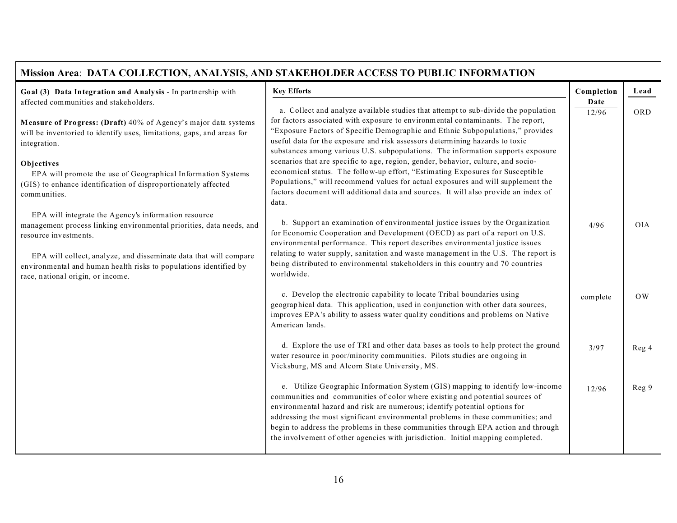| Mission Area: DATA COLLECTION, ANALYSIS, AND STAKEHOLDER ACCESS TO PUBLIC INFORMATION                                                                                                                                                                                                                                                |                                                                                                                                                                                                                                                                                                                                                                                                                                                                                                         |                    |                        |
|--------------------------------------------------------------------------------------------------------------------------------------------------------------------------------------------------------------------------------------------------------------------------------------------------------------------------------------|---------------------------------------------------------------------------------------------------------------------------------------------------------------------------------------------------------------------------------------------------------------------------------------------------------------------------------------------------------------------------------------------------------------------------------------------------------------------------------------------------------|--------------------|------------------------|
| Goal (3) Data Integration and Analysis - In partnership with<br>affected communities and stakeholders.                                                                                                                                                                                                                               | <b>Key Efforts</b>                                                                                                                                                                                                                                                                                                                                                                                                                                                                                      | Completion<br>Date | Lead                   |
| Measure of Progress: (Draft) 40% of Agency's major data systems<br>will be inventoried to identify uses, limitations, gaps, and areas for<br>integration.                                                                                                                                                                            | a. Collect and analyze available studies that attempt to sub-divide the population<br>for factors associated with exposure to environmental contaminants. The report,<br>"Exposure Factors of Specific Demographic and Ethnic Subpopulations," provides<br>useful data for the exposure and risk assessors determining hazards to toxic<br>substances among various U.S. subpopulations. The information supports exposure                                                                              | 12/96              | ORD                    |
| Objectives<br>EPA will promote the use of Geographical Information Systems<br>(GIS) to enhance identification of disproportionately affected<br>communities.                                                                                                                                                                         | scenarios that are specific to age, region, gender, behavior, culture, and socio-<br>economical status. The follow-up effort, "Estimating Exposures for Susceptible<br>Populations," will recommend values for actual exposures and will supplement the<br>factors document will additional data and sources. It will also provide an index of<br>data.                                                                                                                                                 |                    |                        |
| EPA will integrate the Agency's information resource<br>management process linking environmental priorities, data needs, and<br>resource investments.<br>EPA will collect, analyze, and disseminate data that will compare<br>environmental and human health risks to populations identified by<br>race, national origin, or income. | b. Support an examination of environmental justice issues by the Organization<br>for Economic Cooperation and Development (OECD) as part of a report on U.S.<br>environmental performance. This report describes environmental justice issues<br>relating to water supply, sanitation and waste management in the U.S. The report is<br>being distributed to environmental stakeholders in this country and 70 countries<br>worldwide.                                                                  | 4/96               | <b>OIA</b>             |
|                                                                                                                                                                                                                                                                                                                                      | c. Develop the electronic capability to locate Tribal boundaries using<br>geographical data. This application, used in conjunction with other data sources,<br>improves EPA's ability to assess water quality conditions and problems on Native<br>American lands.                                                                                                                                                                                                                                      | complete           | $\overline{\text{OW}}$ |
|                                                                                                                                                                                                                                                                                                                                      | d. Explore the use of TRI and other data bases as tools to help protect the ground<br>water resource in poor/minority communities. Pilots studies are ongoing in<br>Vicksburg, MS and Alcorn State University, MS.                                                                                                                                                                                                                                                                                      | 3/97               | Reg 4                  |
|                                                                                                                                                                                                                                                                                                                                      | e. Utilize Geographic Information System (GIS) mapping to identify low-income<br>communities and communities of color where existing and potential sources of<br>environmental hazard and risk are numerous; identify potential options for<br>addressing the most significant environmental problems in these communities; and<br>begin to address the problems in these communities through EPA action and through<br>the involvement of other agencies with jurisdiction. Initial mapping completed. | 12/96              | Reg 9                  |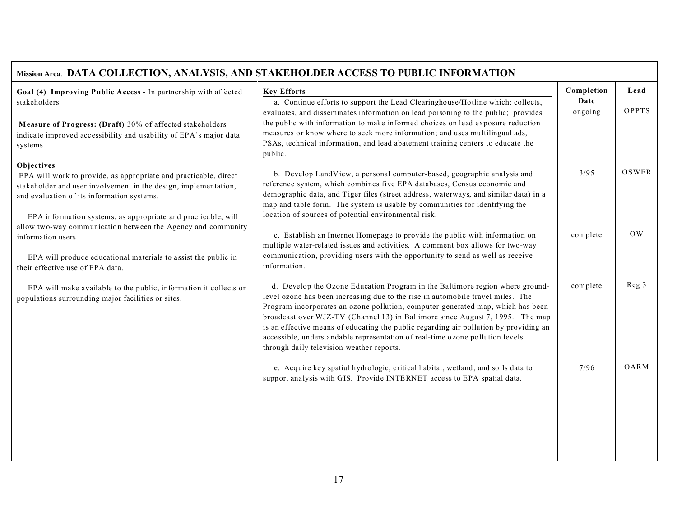| Mission Area: DATA COLLECTION, ANALYSIS, AND STAKEHOLDER ACCESS TO PUBLIC INFORMATION                                                                                                                                                                            |                                                                                                                                                                                                                                                                                                                                                                                                                                                                                                                                                            |                 |           |
|------------------------------------------------------------------------------------------------------------------------------------------------------------------------------------------------------------------------------------------------------------------|------------------------------------------------------------------------------------------------------------------------------------------------------------------------------------------------------------------------------------------------------------------------------------------------------------------------------------------------------------------------------------------------------------------------------------------------------------------------------------------------------------------------------------------------------------|-----------------|-----------|
| Goal (4) Improving Public Access - In partnership with affected                                                                                                                                                                                                  | <b>Key Efforts</b>                                                                                                                                                                                                                                                                                                                                                                                                                                                                                                                                         | Completion      | Lead      |
| stakeholders<br>Measure of Progress: (Draft) 30% of affected stakeholders<br>indicate improved accessibility and usability of EPA's major data<br>systems.                                                                                                       | a. Continue efforts to support the Lead Clearinghouse/Hotline which: collects,<br>evaluates, and disseminates information on lead poisoning to the public; provides<br>the public with information to make informed choices on lead exposure reduction<br>measures or know where to seek more information; and uses multilingual ads,<br>PSAs, technical information, and lead abatement training centers to educate the<br>public.                                                                                                                        | Date<br>ongoing | OPPTS     |
| Objectives<br>EPA will work to provide, as appropriate and practicable, direct<br>stakeholder and user involvement in the design, implementation,<br>and evaluation of its information systems.<br>EPA information systems, as appropriate and practicable, will | b. Develop LandView, a personal computer-based, geographic analysis and<br>reference system, which combines five EPA databases, Census economic and<br>demographic data, and Tiger files (street address, waterways, and similar data) in a<br>map and table form. The system is usable by communities for identifying the<br>location of sources of potential environmental risk.                                                                                                                                                                         | 3/95            | OSWER     |
| allow two-way communication between the Agency and community<br>information users.<br>EPA will produce educational materials to assist the public in<br>their effective use of EPA data.                                                                         | c. Establish an Internet Homepage to provide the public with information on<br>multiple water-related issues and activities. A comment box allows for two-way<br>communication, providing users with the opportunity to send as well as receive<br>information.                                                                                                                                                                                                                                                                                            | complete        | <b>OW</b> |
| EPA will make available to the public, information it collects on<br>populations surrounding major facilities or sites.                                                                                                                                          | d. Develop the Ozone Education Program in the Baltimore region where ground-<br>level ozone has been increasing due to the rise in automobile travel miles. The<br>Program incorporates an ozone pollution, computer-generated map, which has been<br>broadcast over WJZ-TV (Channel 13) in Baltimore since August 7, 1995. The map<br>is an effective means of educating the public regarding air pollution by providing an<br>accessible, understandable representation of real-time ozone pollution levels<br>through daily television weather reports. | complete        | Reg 3     |
|                                                                                                                                                                                                                                                                  | e. Acquire key spatial hydrologic, critical habitat, wetland, and soils data to<br>support analysis with GIS. Provide INTERNET access to EPA spatial data.                                                                                                                                                                                                                                                                                                                                                                                                 | 7/96            | OARM      |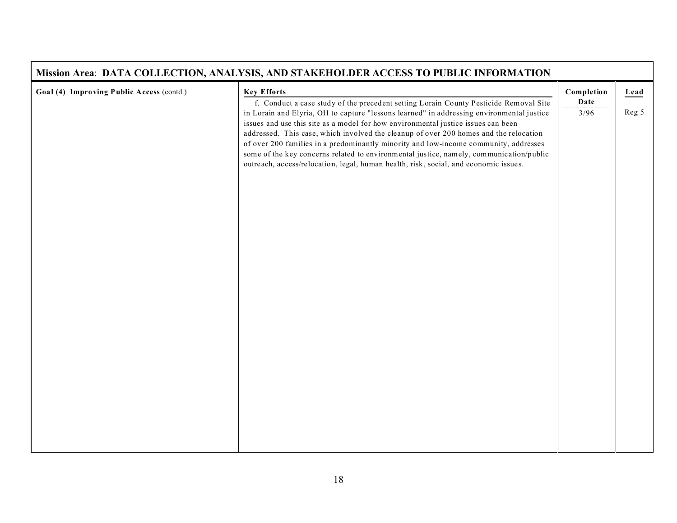|                                           | Mission Area: DATA COLLECTION, ANALYSIS, AND STAKEHOLDER ACCESS TO PUBLIC INFORMATION                                                                                                                                                                                                                                                                                                                                                                                                                                                                                                                                                       |              |       |
|-------------------------------------------|---------------------------------------------------------------------------------------------------------------------------------------------------------------------------------------------------------------------------------------------------------------------------------------------------------------------------------------------------------------------------------------------------------------------------------------------------------------------------------------------------------------------------------------------------------------------------------------------------------------------------------------------|--------------|-------|
| Goal (4) Improving Public Access (contd.) | <b>Key Efforts</b>                                                                                                                                                                                                                                                                                                                                                                                                                                                                                                                                                                                                                          | Completion   | Lead  |
|                                           | f. Conduct a case study of the precedent setting Lorain County Pesticide Removal Site<br>in Lorain and Elyria, OH to capture "lessons learned" in addressing environmental justice<br>issues and use this site as a model for how environmental justice issues can been<br>addressed. This case, which involved the cleanup of over 200 homes and the relocation<br>of over 200 families in a predominantly minority and low-income community, addresses<br>some of the key concerns related to environmental justice, namely, communication/public<br>outreach, access/relocation, legal, human health, risk, social, and economic issues. | Date<br>3/96 | Reg 5 |
|                                           |                                                                                                                                                                                                                                                                                                                                                                                                                                                                                                                                                                                                                                             |              |       |
|                                           |                                                                                                                                                                                                                                                                                                                                                                                                                                                                                                                                                                                                                                             |              |       |
|                                           |                                                                                                                                                                                                                                                                                                                                                                                                                                                                                                                                                                                                                                             |              |       |
|                                           |                                                                                                                                                                                                                                                                                                                                                                                                                                                                                                                                                                                                                                             |              |       |

 $\mathbf{r}$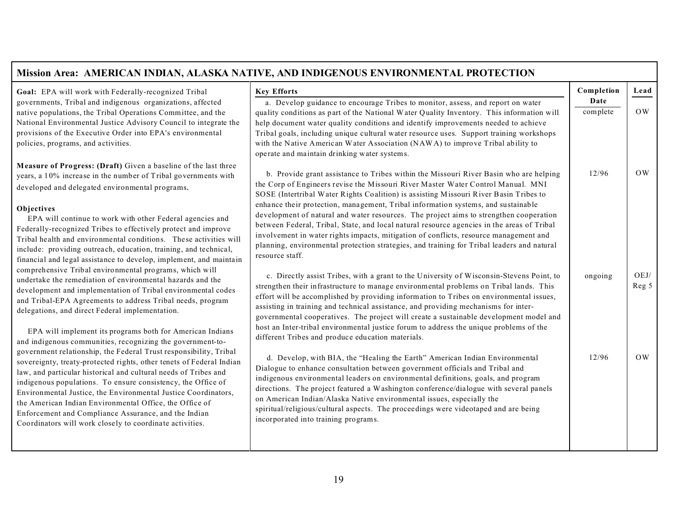#### Mission Area: AMERICAN INDIAN, ALASKA NATIVE, AND INDIGENOUS ENVIRONMENTAL PROTECTION **Goal:** EPA will work with Federally-recognized Tribal governments, Tribal and indigenous organizations, affected native populations, the Tribal Operations Committee, and the National Environmental Justice Advisory Council to integrate the provisions of the Executive Order into EPA's environmental policies, programs, and activities. **Measure of Progress: (Draft)** Given a baseline of the last three years, a 10% increase in the number of Tribal governments with developed and delegated environmental programs. **Objectives**  EPA will continue to work with other Federal agencies and Federally-recognized Tribes to effectively protect and improve Tribal health and environmental conditions. These activities will include: providing outreach, education, training, and technical, financial and legal assistance to deve lop, implem ent, and maintain **Key Efforts**  a. Develop guidance to encourage Tribes to monitor, assess, and report on water quality conditions as part of the National Water Quality Inventory. This information will help document water quality conditions and identify improvements needed to achieve Tribal goals, including unique cultural water resource uses. Support training workshops with the Native American Water Association (NAWA) to improve Tribal ability to ope rate and ma intain drinking water system s. b. Provide grant assistance to Tribes within the Missouri River Basin who are helping the Corp of Engineers revise the Missouri River Master Water Control Manual. MNI SO SE (Intertribal Water Rights Coalition) is assisting Missouri River Basin Tribes to enhance their protection, management, Tribal information systems, and sustainable development of natural and water resources. The project aims to strengthen cooperation between Federal, Tribal, State, and local natural resource agencies in the areas of Tribal involvement in water rights impacts, mitigation of conflicts, resource management and planning, environmental protection strategies, and training for Tribal leaders and natural resource staff. **Completion Date**  com plete 12/96 **Lead**  OW OW

com prehensive Trib al enviro nmental pro grams, which w ill undertake the remediation of environmental hazards and the development and implementation of Tribal environmental codes and Tribal-EPA Agreements to address Tribal needs, program

EPA will implement its programs both for American Indians and indigenous communities, recognizing the government-togovernment relationship, the Federal Trust responsibility, Tribal sovereignty, treaty-protected rights, other tenets of Federal Indian law, and particular historical and cultural needs of Tribes and indigenous populations. To ensure consistency, the Office of Environ mental Justice, the En vironmen tal Justice Coo rdinators, the American Indian Environmental Office, the Office of Enforcement and Compliance Assurance, and the Indian Coordinators will work closely to coordinate activities.

delegations, and direct Federal implementation.

c. Directly assist Tribes, with a grant to the University of Wisconsin-Stevens Point, to strengthen their infrastructure to manage environmental problems on Tribal lands. This effort will be accomplished by providing information to Tribes on environmental issues, assisting in training and technical assistance, and providing mechanisms for intergovernmental cooperatives. The project will create a sustainable development model and host an Inter-tribal environmental justice forum to address the unique problems of the different Tribes and produce education materials. ongoing

OEJ/ Reg 5

OW

d. Develop, with BIA, the "Healing the Earth" American Indian Environmental Dialogue to enhance consultation between government officials and Tribal and indigenous environmental leaders on environmental definitions, goals, and program directions. The project featured a W ashington conference/dialogue with several panels on American Indian/Alaska Native environmental issues, especially the spiritual/religious/cultural aspects. The procee dings were videotaped and are being incorporated into training programs. 12/96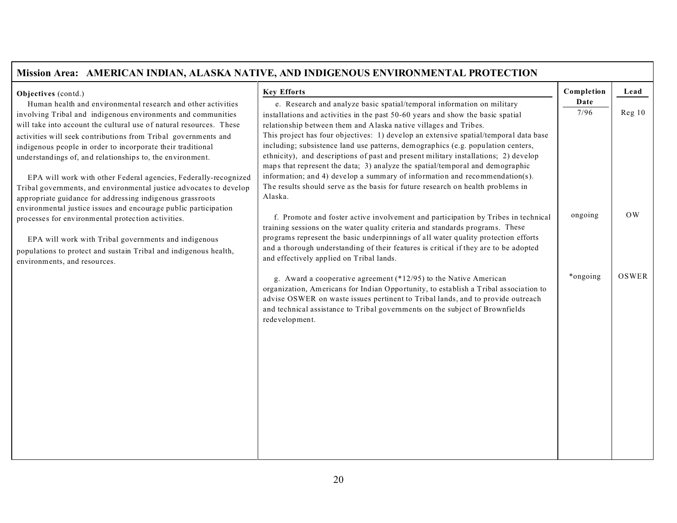| Mission Area: AMERICAN INDIAN, ALASKA NATIVE, AND INDIGENOUS ENVIRONMENTAL PROTECTION                                                                                                                                                                                                                                                                                                                                                                                                                                                                                                                      |                                                                                                                                                                                                                                                                                                                                                                                                                                                                                                                                                                                                                                                                                                                                                                |                    |                        |
|------------------------------------------------------------------------------------------------------------------------------------------------------------------------------------------------------------------------------------------------------------------------------------------------------------------------------------------------------------------------------------------------------------------------------------------------------------------------------------------------------------------------------------------------------------------------------------------------------------|----------------------------------------------------------------------------------------------------------------------------------------------------------------------------------------------------------------------------------------------------------------------------------------------------------------------------------------------------------------------------------------------------------------------------------------------------------------------------------------------------------------------------------------------------------------------------------------------------------------------------------------------------------------------------------------------------------------------------------------------------------------|--------------------|------------------------|
| Objectives (contd.)<br>Human health and environmental research and other activities                                                                                                                                                                                                                                                                                                                                                                                                                                                                                                                        | <b>Key Efforts</b>                                                                                                                                                                                                                                                                                                                                                                                                                                                                                                                                                                                                                                                                                                                                             | Completion<br>Date | Lead                   |
| involving Tribal and indigenous environments and communities<br>will take into account the cultural use of natural resources. These<br>activities will seek contributions from Tribal governments and<br>indigenous people in order to incorporate their traditional<br>understandings of, and relationships to, the environment.<br>EPA will work with other Federal agencies, Federally-recognized<br>Tribal governments, and environmental justice advocates to develop<br>appropriate guidance for addressing indigenous grassroots<br>environmental justice issues and encourage public participation | e. Research and analyze basic spatial/temporal information on military<br>installations and activities in the past 50-60 years and show the basic spatial<br>relationship between them and Alaska native villages and Tribes.<br>This project has four objectives: 1) develop an extensive spatial/temporal data base<br>including; subsistence land use patterns, demographics (e.g. population centers,<br>ethnicity), and descriptions of past and present military installations; 2) develop<br>maps that represent the data; 3) analyze the spatial/temporal and demographic<br>information; and 4) develop a summary of information and recommendation(s).<br>The results should serve as the basis for future research on health problems in<br>Alaska. | 7/96               | Reg <sub>10</sub>      |
| processes for environmental protection activities.<br>EPA will work with Tribal governments and indigenous<br>populations to protect and sustain Tribal and indigenous health,<br>environments, and resources.                                                                                                                                                                                                                                                                                                                                                                                             | f. Promote and foster active involvement and participation by Tribes in technical<br>training sessions on the water quality criteria and standards programs. These<br>programs represent the basic underpinnings of all water quality protection efforts<br>and a thorough understanding of their features is critical if they are to be adopted<br>and effectively applied on Tribal lands.                                                                                                                                                                                                                                                                                                                                                                   | ongoing            | $\overline{\text{OW}}$ |
|                                                                                                                                                                                                                                                                                                                                                                                                                                                                                                                                                                                                            | g. Award a cooperative agreement (*12/95) to the Native American<br>organization, Americans for Indian Opportunity, to establish a Tribal association to<br>advise OSWER on waste issues pertinent to Tribal lands, and to provide outreach<br>and technical assistance to Tribal governments on the subject of Brownfields<br>redevelopment.                                                                                                                                                                                                                                                                                                                                                                                                                  | *ongoing           | OSWER                  |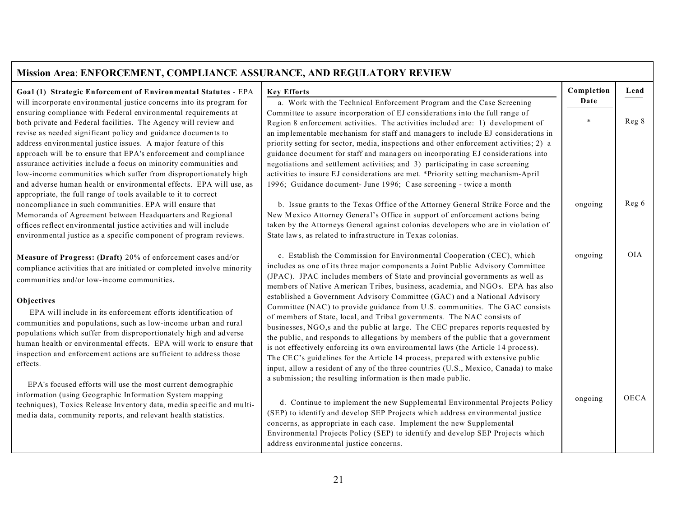| Mission Area: ENFORCEMENT, COMPLIANCE ASSURANCE, AND REGULATORY REVIEW                                                                                                                                                                                                                                                                                                                                                                                                             |                                                                                                                                                                                                                                                                                                                                                                                                                                                                                                                                                                                                                                                                                                                                             |                |       |
|------------------------------------------------------------------------------------------------------------------------------------------------------------------------------------------------------------------------------------------------------------------------------------------------------------------------------------------------------------------------------------------------------------------------------------------------------------------------------------|---------------------------------------------------------------------------------------------------------------------------------------------------------------------------------------------------------------------------------------------------------------------------------------------------------------------------------------------------------------------------------------------------------------------------------------------------------------------------------------------------------------------------------------------------------------------------------------------------------------------------------------------------------------------------------------------------------------------------------------------|----------------|-------|
| Goal (1) Strategic Enforcement of Environmental Statutes - EPA                                                                                                                                                                                                                                                                                                                                                                                                                     | <b>Key Efforts</b>                                                                                                                                                                                                                                                                                                                                                                                                                                                                                                                                                                                                                                                                                                                          | Completion     | Lead  |
| will incorporate environmental justice concerns into its program for<br>ensuring compliance with Federal environmental requirements at<br>both private and Federal facilities. The Agency will review and<br>revise as needed significant policy and guidance documents to<br>address environmental justice issues. A major feature of this                                                                                                                                        | a. Work with the Technical Enforcement Program and the Case Screening<br>Committee to assure incorporation of EJ considerations into the full range of<br>Region 8 enforcement activities. The activities included are: 1) development of<br>an implementable mechanism for staff and managers to include EJ considerations in<br>priority setting for sector, media, inspections and other enforcement activities; 2) a                                                                                                                                                                                                                                                                                                                    | Date<br>$\ast$ | Reg 8 |
| approach will be to ensure that EPA's enforcement and compliance<br>assurance activities include a focus on minority communities and<br>low-income communities which suffer from disproportionately high<br>and adverse human health or environmental effects. EPA will use, as<br>appropriate, the full range of tools available to it to correct                                                                                                                                 | guidance document for staff and managers on incorporating EJ considerations into<br>negotiations and settlement activities; and 3) participating in case screening<br>activities to insure EJ considerations are met. *Priority setting mechanism-April<br>1996; Guidance document- June 1996; Case screening - twice a month                                                                                                                                                                                                                                                                                                                                                                                                               |                |       |
| noncompliance in such communities. EPA will ensure that<br>Memoranda of Agreement between Headquarters and Regional<br>offices reflect environmental justice activities and will include<br>environmental justice as a specific component of program reviews.                                                                                                                                                                                                                      | b. Issue grants to the Texas Office of the Attorney General Strike Force and the<br>New Mexico Attorney General's Office in support of enforcement actions being<br>taken by the Attorneys General against colonias developers who are in violation of<br>State laws, as related to infrastructure in Texas colonias.                                                                                                                                                                                                                                                                                                                                                                                                                       | ongoing        | Reg 6 |
| Measure of Progress: (Draft) 20% of enforcement cases and/or<br>compliance activities that are initiated or completed involve minority<br>communities and/or low-income communities.<br>Objectives<br>EPA will include in its enforcement efforts identification of<br>communities and populations, such as low-income urban and rural<br>populations which suffer from disproportionately high and adverse<br>human health or environmental effects. EPA will work to ensure that | c. Establish the Commission for Environmental Cooperation (CEC), which<br>includes as one of its three major components a Joint Public Advisory Committee<br>(JPAC). JPAC includes members of State and provincial governments as well as<br>members of Native American Tribes, business, academia, and NGOs. EPA has also<br>established a Government Advisory Committee (GAC) and a National Advisory<br>Committee (NAC) to provide guidance from U.S. communities. The GAC consists<br>of members of State, local, and Tribal governments. The NAC consists of<br>businesses, NGO,s and the public at large. The CEC prepares reports requested by<br>the public, and responds to allegations by members of the public that a government | ongoing        | OIA   |
| inspection and enforcement actions are sufficient to address those<br>effects.<br>EPA's focused efforts will use the most current demographic                                                                                                                                                                                                                                                                                                                                      | is not effectively enforcing its own environmental laws (the Article 14 process).<br>The CEC's guidelines for the Article 14 process, prepared with extensive public<br>input, allow a resident of any of the three countries (U.S., Mexico, Canada) to make<br>a submission; the resulting information is then made public.                                                                                                                                                                                                                                                                                                                                                                                                                |                |       |
| information (using Geographic Information System mapping<br>techniques), Toxics Release Inventory data, media specific and multi-<br>media data, community reports, and relevant health statistics.                                                                                                                                                                                                                                                                                | d. Continue to implement the new Supplemental Environmental Projects Policy<br>(SEP) to identify and develop SEP Projects which address environmental justice<br>concerns, as appropriate in each case. Implement the new Supplemental<br>Environmental Projects Policy (SEP) to identify and develop SEP Projects which<br>address environmental justice concerns.                                                                                                                                                                                                                                                                                                                                                                         | ongoing        | OECA  |

П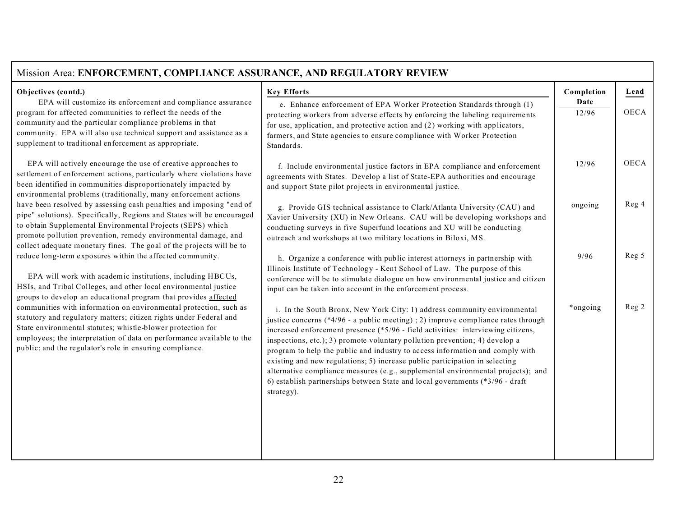| Objectives (contd.)<br>EPA will customize its enforcement and compliance assurance<br>program for affected communities to reflect the needs of the<br>community and the particular compliance problems in that                                                                                                                                                                                                                                                                                                                                                                                                | <b>Key Efforts</b><br>e. Enhance enforcement of EPA Worker Protection Standards through (1)<br>protecting workers from adverse effects by enforcing the labeling requirements                                                                                                                                                                                                                                                                                                                                                                                                                                                                                                     | Completion<br>Date<br>12/96 | Lead<br><b>OECA</b> |
|---------------------------------------------------------------------------------------------------------------------------------------------------------------------------------------------------------------------------------------------------------------------------------------------------------------------------------------------------------------------------------------------------------------------------------------------------------------------------------------------------------------------------------------------------------------------------------------------------------------|-----------------------------------------------------------------------------------------------------------------------------------------------------------------------------------------------------------------------------------------------------------------------------------------------------------------------------------------------------------------------------------------------------------------------------------------------------------------------------------------------------------------------------------------------------------------------------------------------------------------------------------------------------------------------------------|-----------------------------|---------------------|
| community. EPA will also use technical support and assistance as a<br>supplement to traditional enforcement as appropriate.                                                                                                                                                                                                                                                                                                                                                                                                                                                                                   | for use, application, and protective action and (2) working with applicators,<br>farmers, and State agencies to ensure compliance with Worker Protection<br>Standards.                                                                                                                                                                                                                                                                                                                                                                                                                                                                                                            |                             |                     |
| EPA will actively encourage the use of creative approaches to<br>settlement of enforcement actions, particularly where violations have<br>been identified in communities disproportionately impacted by<br>environmental problems (traditionally, many enforcement actions                                                                                                                                                                                                                                                                                                                                    | f. Include environmental justice factors in EPA compliance and enforcement<br>agreements with States. Develop a list of State-EPA authorities and encourage<br>and support State pilot projects in environmental justice.                                                                                                                                                                                                                                                                                                                                                                                                                                                         | 12/96                       | <b>OECA</b>         |
| have been resolved by assessing cash penalties and imposing "end of<br>pipe" solutions). Specifically, Regions and States will be encouraged<br>to obtain Supplemental Environmental Projects (SEPS) which<br>promote pollution prevention, remedy environmental damage, and<br>collect adequate monetary fines. The goal of the projects will be to                                                                                                                                                                                                                                                          | g. Provide GIS technical assistance to Clark/Atlanta University (CAU) and<br>Xavier University (XU) in New Orleans. CAU will be developing workshops and<br>conducting surveys in five Superfund locations and XU will be conducting<br>outreach and workshops at two military locations in Biloxi, MS.                                                                                                                                                                                                                                                                                                                                                                           | ongoing                     | Reg 4               |
| reduce long-term exposures within the affected community.<br>EPA will work with academic institutions, including HBCUs,<br>HSIs, and Tribal Colleges, and other local environmental justice<br>groups to develop an educational program that provides affected<br>communities with information on environmental protection, such as<br>statutory and regulatory matters; citizen rights under Federal and<br>State environmental statutes; whistle-blower protection for<br>employees; the interpretation of data on performance available to the<br>public; and the regulator's role in ensuring compliance. | h. Organize a conference with public interest attorneys in partnership with<br>Illinois Institute of Technology - Kent School of Law. The purpose of this<br>conference will be to stimulate dialogue on how environmental justice and citizen<br>input can be taken into account in the enforcement process.                                                                                                                                                                                                                                                                                                                                                                     | 9/96                        | Reg 5               |
|                                                                                                                                                                                                                                                                                                                                                                                                                                                                                                                                                                                                               | i. In the South Bronx, New York City: 1) address community environmental<br>justice concerns (*4/96 - a public meeting); 2) improve compliance rates through<br>increased enforcement presence (*5/96 - field activities: interviewing citizens,<br>inspections, etc.); 3) promote voluntary pollution prevention; 4) develop a<br>program to help the public and industry to access information and comply with<br>existing and new regulations; 5) increase public participation in selecting<br>alternative compliance measures (e.g., supplemental environmental projects); and<br>6) establish partnerships between State and local governments (*3/96 - draft<br>strategy). | *ongoing                    | Reg 2               |

## 22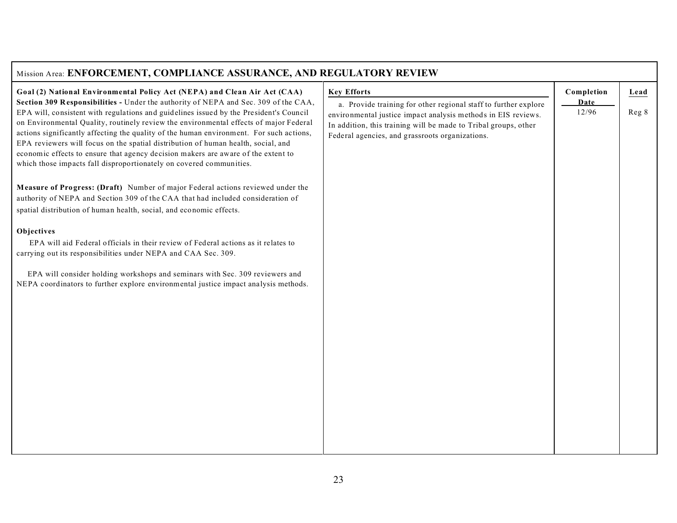| Mission Area: ENFORCEMENT, COMPLIANCE ASSURANCE, AND REGULATORY REVIEW                                                                                                                                                                                                                                                                                                                                                                                                                                                      |                                                                                                                                                                                                                                                        |                    |       |  |
|-----------------------------------------------------------------------------------------------------------------------------------------------------------------------------------------------------------------------------------------------------------------------------------------------------------------------------------------------------------------------------------------------------------------------------------------------------------------------------------------------------------------------------|--------------------------------------------------------------------------------------------------------------------------------------------------------------------------------------------------------------------------------------------------------|--------------------|-------|--|
| Goal (2) National Environmental Policy Act (NEPA) and Clean Air Act (CAA)<br>Section 309 Responsibilities - Under the authority of NEPA and Sec. 309 of the CAA,                                                                                                                                                                                                                                                                                                                                                            | <b>Key Efforts</b>                                                                                                                                                                                                                                     | Completion<br>Date | Lead  |  |
| EPA will, consistent with regulations and guidelines issued by the President's Council<br>on Environmental Quality, routinely review the environmental effects of major Federal<br>actions significantly affecting the quality of the human environment. For such actions,<br>EPA reviewers will focus on the spatial distribution of human health, social, and<br>economic effects to ensure that agency decision makers are aware of the extent to<br>which those impacts fall disproportionately on covered communities. | a. Provide training for other regional staff to further explore<br>environmental justice impact analysis methods in EIS reviews.<br>In addition, this training will be made to Tribal groups, other<br>Federal agencies, and grassroots organizations. | 12/96              | Reg 8 |  |
| Measure of Progress: (Draft) Number of major Federal actions reviewed under the<br>authority of NEPA and Section 309 of the CAA that had included consideration of<br>spatial distribution of human health, social, and economic effects.                                                                                                                                                                                                                                                                                   |                                                                                                                                                                                                                                                        |                    |       |  |
| Objectives                                                                                                                                                                                                                                                                                                                                                                                                                                                                                                                  |                                                                                                                                                                                                                                                        |                    |       |  |
| EPA will aid Federal officials in their review of Federal actions as it relates to<br>carrying out its responsibilities under NEPA and CAA Sec. 309.                                                                                                                                                                                                                                                                                                                                                                        |                                                                                                                                                                                                                                                        |                    |       |  |
| EPA will consider holding workshops and seminars with Sec. 309 reviewers and<br>NEPA coordinators to further explore environmental justice impact analysis methods.                                                                                                                                                                                                                                                                                                                                                         |                                                                                                                                                                                                                                                        |                    |       |  |
|                                                                                                                                                                                                                                                                                                                                                                                                                                                                                                                             |                                                                                                                                                                                                                                                        |                    |       |  |
|                                                                                                                                                                                                                                                                                                                                                                                                                                                                                                                             |                                                                                                                                                                                                                                                        |                    |       |  |
|                                                                                                                                                                                                                                                                                                                                                                                                                                                                                                                             |                                                                                                                                                                                                                                                        |                    |       |  |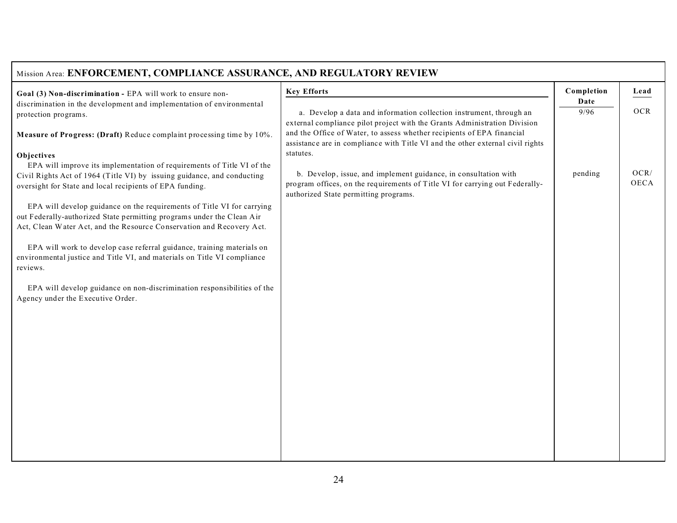| Mission Area: ENFORCEMENT, COMPLIANCE ASSURANCE, AND REGULATORY REVIEW                                                              |                                                                                                                                                                                                                                       |                    |              |
|-------------------------------------------------------------------------------------------------------------------------------------|---------------------------------------------------------------------------------------------------------------------------------------------------------------------------------------------------------------------------------------|--------------------|--------------|
| Goal (3) Non-discrimination - EPA will work to ensure non-                                                                          | <b>Key Efforts</b>                                                                                                                                                                                                                    | Completion<br>Date | Lead         |
| discrimination in the development and implementation of environmental<br>protection programs.                                       | a. Develop a data and information collection instrument, through an                                                                                                                                                                   | 9/96               | <b>OCR</b>   |
| Measure of Progress: (Draft) Reduce complaint processing time by 10%.                                                               | external compliance pilot project with the Grants Administration Division<br>and the Office of Water, to assess whether recipients of EPA financial<br>assistance are in compliance with Title VI and the other external civil rights |                    |              |
| Objectives                                                                                                                          | statutes.                                                                                                                                                                                                                             |                    |              |
| EPA will improve its implementation of requirements of Title VI of the                                                              |                                                                                                                                                                                                                                       |                    |              |
| Civil Rights Act of 1964 (Title VI) by issuing guidance, and conducting<br>oversight for State and local recipients of EPA funding. | b. Develop, issue, and implement guidance, in consultation with<br>program offices, on the requirements of Title VI for carrying out Federally-<br>authorized State permitting programs.                                              | pending            | OCR/<br>OECA |
| EPA will develop guidance on the requirements of Title VI for carrying                                                              |                                                                                                                                                                                                                                       |                    |              |
| out Federally-authorized State permitting programs under the Clean Air                                                              |                                                                                                                                                                                                                                       |                    |              |
| Act, Clean Water Act, and the Resource Conservation and Recovery Act.                                                               |                                                                                                                                                                                                                                       |                    |              |
| EPA will work to develop case referral guidance, training materials on                                                              |                                                                                                                                                                                                                                       |                    |              |
| environmental justice and Title VI, and materials on Title VI compliance<br>reviews.                                                |                                                                                                                                                                                                                                       |                    |              |
|                                                                                                                                     |                                                                                                                                                                                                                                       |                    |              |
| EPA will develop guidance on non-discrimination responsibilities of the<br>Agency under the Executive Order.                        |                                                                                                                                                                                                                                       |                    |              |
|                                                                                                                                     |                                                                                                                                                                                                                                       |                    |              |
|                                                                                                                                     |                                                                                                                                                                                                                                       |                    |              |
|                                                                                                                                     |                                                                                                                                                                                                                                       |                    |              |
|                                                                                                                                     |                                                                                                                                                                                                                                       |                    |              |
|                                                                                                                                     |                                                                                                                                                                                                                                       |                    |              |
|                                                                                                                                     |                                                                                                                                                                                                                                       |                    |              |
|                                                                                                                                     |                                                                                                                                                                                                                                       |                    |              |
|                                                                                                                                     |                                                                                                                                                                                                                                       |                    |              |
|                                                                                                                                     |                                                                                                                                                                                                                                       |                    |              |
|                                                                                                                                     |                                                                                                                                                                                                                                       |                    |              |
|                                                                                                                                     |                                                                                                                                                                                                                                       |                    |              |